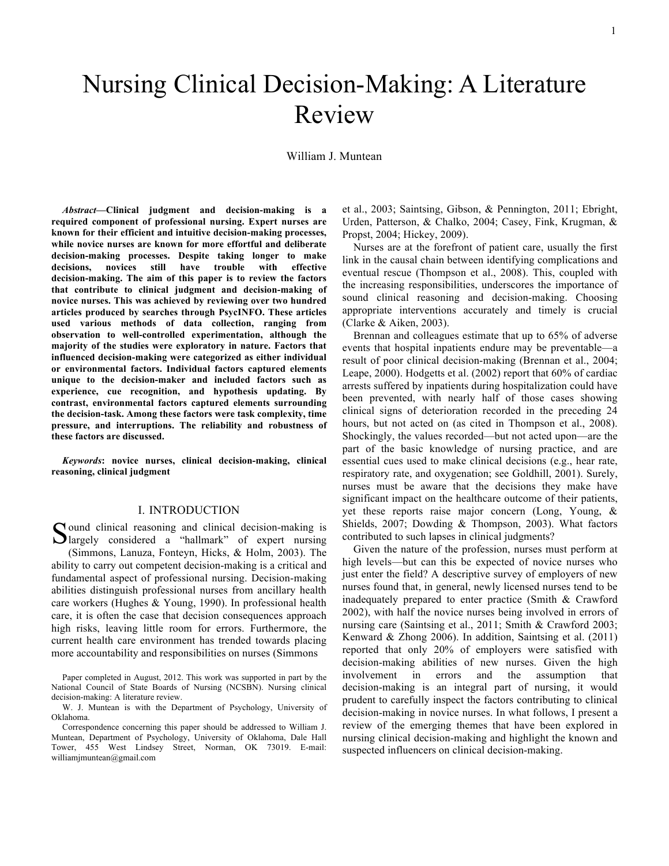# Nursing Clinical Decision-Making: A Literature Review

William J. Muntean

*Abstract***—Clinical judgment and decision-making is a required component of professional nursing. Expert nurses are known for their efficient and intuitive decision-making processes, while novice nurses are known for more effortful and deliberate decision-making processes. Despite taking longer to make decisions, novices still have trouble with effective decision-making. The aim of this paper is to review the factors that contribute to clinical judgment and decision-making of novice nurses. This was achieved by reviewing over two hundred articles produced by searches through PsycINFO. These articles used various methods of data collection, ranging from observation to well-controlled experimentation, although the majority of the studies were exploratory in nature. Factors that influenced decision-making were categorized as either individual or environmental factors. Individual factors captured elements unique to the decision-maker and included factors such as experience, cue recognition, and hypothesis updating. By contrast, environmental factors captured elements surrounding the decision-task. Among these factors were task complexity, time pressure, and interruptions. The reliability and robustness of these factors are discussed.** 

*Keywords***: novice nurses, clinical decision-making, clinical reasoning, clinical judgment**

# I. INTRODUCTION

 $\Gamma$  ound clinical reasoning and clinical decision-making is Sound clinical reasoning and clinical decision-making is largely considered a "hallmark" of expert nursing (Simmons, Lanuza, Fonteyn, Hicks, & Holm, 2003). The ability to carry out competent decision-making is a critical and fundamental aspect of professional nursing. Decision-making abilities distinguish professional nurses from ancillary health care workers (Hughes & Young, 1990). In professional health care, it is often the case that decision consequences approach high risks, leaving little room for errors. Furthermore, the current health care environment has trended towards placing more accountability and responsibilities on nurses (Simmons

Paper completed in August, 2012. This work was supported in part by the National Council of State Boards of Nursing (NCSBN). Nursing clinical decision-making: A literature review.

W. J. Muntean is with the Department of Psychology, University of Oklahoma.

Correspondence concerning this paper should be addressed to William J. Muntean, Department of Psychology, University of Oklahoma, Dale Hall Tower, 455 West Lindsey Street, Norman, OK 73019. E-mail: williamjmuntean@gmail.com

et al., 2003; Saintsing, Gibson, & Pennington, 2011; Ebright, Urden, Patterson, & Chalko, 2004; Casey, Fink, Krugman, & Propst, 2004; Hickey, 2009).

Nurses are at the forefront of patient care, usually the first link in the causal chain between identifying complications and eventual rescue (Thompson et al., 2008). This, coupled with the increasing responsibilities, underscores the importance of sound clinical reasoning and decision-making. Choosing appropriate interventions accurately and timely is crucial (Clarke & Aiken, 2003).

Brennan and colleagues estimate that up to 65% of adverse events that hospital inpatients endure may be preventable—a result of poor clinical decision-making (Brennan et al., 2004; Leape, 2000). Hodgetts et al. (2002) report that 60% of cardiac arrests suffered by inpatients during hospitalization could have been prevented, with nearly half of those cases showing clinical signs of deterioration recorded in the preceding 24 hours, but not acted on (as cited in Thompson et al., 2008). Shockingly, the values recorded—but not acted upon—are the part of the basic knowledge of nursing practice, and are essential cues used to make clinical decisions (e.g., hear rate, respiratory rate, and oxygenation; see Goldhill, 2001). Surely, nurses must be aware that the decisions they make have significant impact on the healthcare outcome of their patients, yet these reports raise major concern (Long, Young, & Shields, 2007; Dowding & Thompson, 2003). What factors contributed to such lapses in clinical judgments?

Given the nature of the profession, nurses must perform at high levels—but can this be expected of novice nurses who just enter the field? A descriptive survey of employers of new nurses found that, in general, newly licensed nurses tend to be inadequately prepared to enter practice (Smith & Crawford 2002), with half the novice nurses being involved in errors of nursing care (Saintsing et al., 2011; Smith & Crawford 2003; Kenward & Zhong 2006). In addition, Saintsing et al. (2011) reported that only 20% of employers were satisfied with decision-making abilities of new nurses. Given the high involvement in errors and the assumption that decision-making is an integral part of nursing, it would prudent to carefully inspect the factors contributing to clinical decision-making in novice nurses. In what follows, I present a review of the emerging themes that have been explored in nursing clinical decision-making and highlight the known and suspected influencers on clinical decision-making.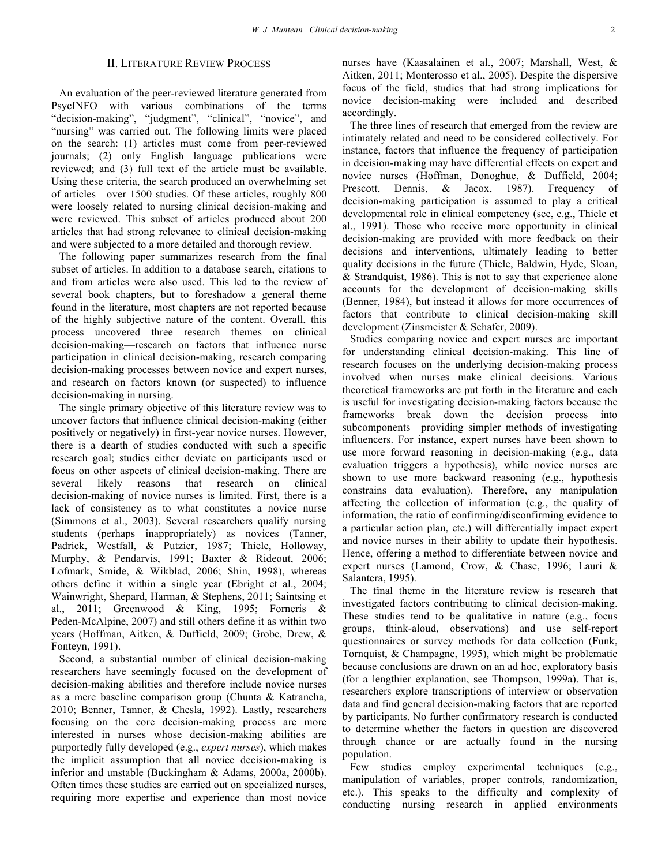# II. LITERATURE REVIEW PROCESS

An evaluation of the peer-reviewed literature generated from PsycINFO with various combinations of the terms "decision-making", "judgment", "clinical", "novice", and "nursing" was carried out. The following limits were placed on the search: (1) articles must come from peer-reviewed journals; (2) only English language publications were reviewed; and (3) full text of the article must be available. Using these criteria, the search produced an overwhelming set of articles—over 1500 studies. Of these articles, roughly 800 were loosely related to nursing clinical decision-making and were reviewed. This subset of articles produced about 200 articles that had strong relevance to clinical decision-making and were subjected to a more detailed and thorough review.

The following paper summarizes research from the final subset of articles. In addition to a database search, citations to and from articles were also used. This led to the review of several book chapters, but to foreshadow a general theme found in the literature, most chapters are not reported because of the highly subjective nature of the content. Overall, this process uncovered three research themes on clinical decision-making—research on factors that influence nurse participation in clinical decision-making, research comparing decision-making processes between novice and expert nurses, and research on factors known (or suspected) to influence decision-making in nursing.

The single primary objective of this literature review was to uncover factors that influence clinical decision-making (either positively or negatively) in first-year novice nurses. However, there is a dearth of studies conducted with such a specific research goal; studies either deviate on participants used or focus on other aspects of clinical decision-making. There are several likely reasons that research on clinical decision-making of novice nurses is limited. First, there is a lack of consistency as to what constitutes a novice nurse (Simmons et al., 2003). Several researchers qualify nursing students (perhaps inappropriately) as novices (Tanner, Padrick, Westfall, & Putzier, 1987; Thiele, Holloway, Murphy, & Pendarvis, 1991; Baxter & Rideout, 2006; Lofmark, Smide, & Wikblad, 2006; Shin, 1998), whereas others define it within a single year (Ebright et al., 2004; Wainwright, Shepard, Harman, & Stephens, 2011; Saintsing et al., 2011; Greenwood & King, 1995; Forneris & Peden-McAlpine, 2007) and still others define it as within two years (Hoffman, Aitken, & Duffield, 2009; Grobe, Drew, & Fonteyn, 1991).

Second, a substantial number of clinical decision-making researchers have seemingly focused on the development of decision-making abilities and therefore include novice nurses as a mere baseline comparison group (Chunta & Katrancha, 2010; Benner, Tanner, & Chesla, 1992). Lastly, researchers focusing on the core decision-making process are more interested in nurses whose decision-making abilities are purportedly fully developed (e.g., *expert nurses*), which makes the implicit assumption that all novice decision-making is inferior and unstable (Buckingham & Adams, 2000a, 2000b). Often times these studies are carried out on specialized nurses, requiring more expertise and experience than most novice nurses have (Kaasalainen et al., 2007; Marshall, West, & Aitken, 2011; Monterosso et al., 2005). Despite the dispersive focus of the field, studies that had strong implications for novice decision-making were included and described accordingly.

The three lines of research that emerged from the review are intimately related and need to be considered collectively. For instance, factors that influence the frequency of participation in decision-making may have differential effects on expert and novice nurses (Hoffman, Donoghue, & Duffield, 2004; Prescott, Dennis, & Jacox, 1987). Frequency of decision-making participation is assumed to play a critical developmental role in clinical competency (see, e.g., Thiele et al., 1991). Those who receive more opportunity in clinical decision-making are provided with more feedback on their decisions and interventions, ultimately leading to better quality decisions in the future (Thiele, Baldwin, Hyde, Sloan, & Strandquist, 1986). This is not to say that experience alone accounts for the development of decision-making skills (Benner, 1984), but instead it allows for more occurrences of factors that contribute to clinical decision-making skill development (Zinsmeister & Schafer, 2009).

Studies comparing novice and expert nurses are important for understanding clinical decision-making. This line of research focuses on the underlying decision-making process involved when nurses make clinical decisions. Various theoretical frameworks are put forth in the literature and each is useful for investigating decision-making factors because the frameworks break down the decision process into subcomponents—providing simpler methods of investigating influencers. For instance, expert nurses have been shown to use more forward reasoning in decision-making (e.g., data evaluation triggers a hypothesis), while novice nurses are shown to use more backward reasoning (e.g., hypothesis constrains data evaluation). Therefore, any manipulation affecting the collection of information (e.g., the quality of information, the ratio of confirming/disconfirming evidence to a particular action plan, etc.) will differentially impact expert and novice nurses in their ability to update their hypothesis. Hence, offering a method to differentiate between novice and expert nurses (Lamond, Crow, & Chase, 1996; Lauri & Salantera, 1995).

The final theme in the literature review is research that investigated factors contributing to clinical decision-making. These studies tend to be qualitative in nature (e.g., focus groups, think-aloud, observations) and use self-report questionnaires or survey methods for data collection (Funk, Tornquist, & Champagne, 1995), which might be problematic because conclusions are drawn on an ad hoc, exploratory basis (for a lengthier explanation, see Thompson, 1999a). That is, researchers explore transcriptions of interview or observation data and find general decision-making factors that are reported by participants. No further confirmatory research is conducted to determine whether the factors in question are discovered through chance or are actually found in the nursing population.

Few studies employ experimental techniques (e.g., manipulation of variables, proper controls, randomization, etc.). This speaks to the difficulty and complexity of conducting nursing research in applied environments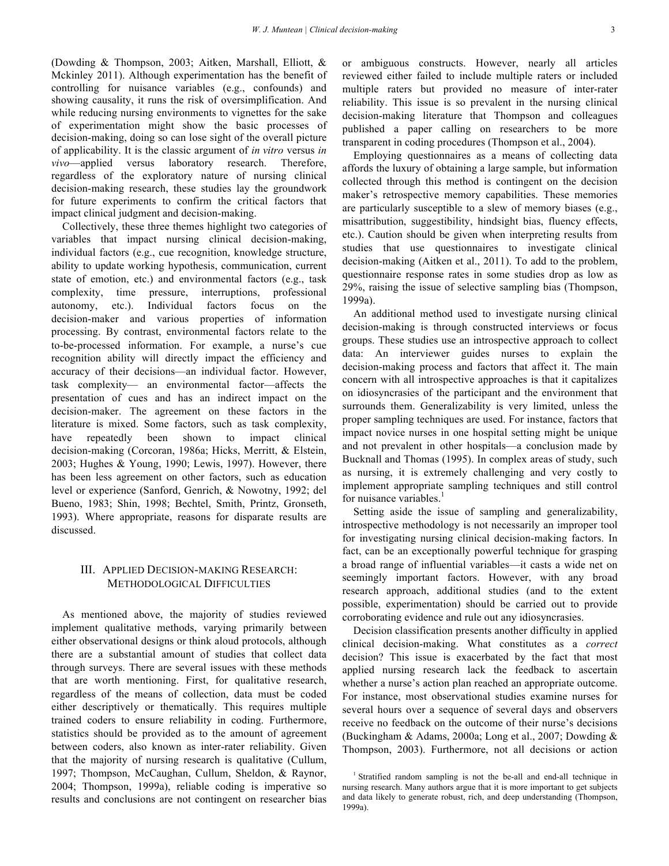(Dowding & Thompson, 2003; Aitken, Marshall, Elliott, & Mckinley 2011). Although experimentation has the benefit of controlling for nuisance variables (e.g., confounds) and showing causality, it runs the risk of oversimplification. And while reducing nursing environments to vignettes for the sake of experimentation might show the basic processes of decision-making, doing so can lose sight of the overall picture of applicability. It is the classic argument of *in vitro* versus *in vivo*—applied versus laboratory research. Therefore, regardless of the exploratory nature of nursing clinical decision-making research, these studies lay the groundwork for future experiments to confirm the critical factors that impact clinical judgment and decision-making.

Collectively, these three themes highlight two categories of variables that impact nursing clinical decision-making, individual factors (e.g., cue recognition, knowledge structure, ability to update working hypothesis, communication, current state of emotion, etc.) and environmental factors (e.g., task complexity, time pressure, interruptions, professional autonomy, etc.). Individual factors focus on the decision-maker and various properties of information processing. By contrast, environmental factors relate to the to-be-processed information. For example, a nurse's cue recognition ability will directly impact the efficiency and accuracy of their decisions—an individual factor. However, task complexity— an environmental factor—affects the presentation of cues and has an indirect impact on the decision-maker. The agreement on these factors in the literature is mixed. Some factors, such as task complexity, have repeatedly been shown to impact clinical decision-making (Corcoran, 1986a; Hicks, Merritt, & Elstein, 2003; Hughes & Young, 1990; Lewis, 1997). However, there has been less agreement on other factors, such as education level or experience (Sanford, Genrich, & Nowotny, 1992; del Bueno, 1983; Shin, 1998; Bechtel, Smith, Printz, Gronseth, 1993). Where appropriate, reasons for disparate results are discussed.

# III. APPLIED DECISION-MAKING RESEARCH: METHODOLOGICAL DIFFICULTIES

As mentioned above, the majority of studies reviewed implement qualitative methods, varying primarily between either observational designs or think aloud protocols, although there are a substantial amount of studies that collect data through surveys. There are several issues with these methods that are worth mentioning. First, for qualitative research, regardless of the means of collection, data must be coded either descriptively or thematically. This requires multiple trained coders to ensure reliability in coding. Furthermore, statistics should be provided as to the amount of agreement between coders, also known as inter-rater reliability. Given that the majority of nursing research is qualitative (Cullum, 1997; Thompson, McCaughan, Cullum, Sheldon, & Raynor, 2004; Thompson, 1999a), reliable coding is imperative so results and conclusions are not contingent on researcher bias or ambiguous constructs. However, nearly all articles reviewed either failed to include multiple raters or included multiple raters but provided no measure of inter-rater reliability. This issue is so prevalent in the nursing clinical decision-making literature that Thompson and colleagues published a paper calling on researchers to be more transparent in coding procedures (Thompson et al., 2004).

Employing questionnaires as a means of collecting data affords the luxury of obtaining a large sample, but information collected through this method is contingent on the decision maker's retrospective memory capabilities. These memories are particularly susceptible to a slew of memory biases (e.g., misattribution, suggestibility, hindsight bias, fluency effects, etc.). Caution should be given when interpreting results from studies that use questionnaires to investigate clinical decision-making (Aitken et al., 2011). To add to the problem, questionnaire response rates in some studies drop as low as 29%, raising the issue of selective sampling bias (Thompson, 1999a).

An additional method used to investigate nursing clinical decision-making is through constructed interviews or focus groups. These studies use an introspective approach to collect data: An interviewer guides nurses to explain the decision-making process and factors that affect it. The main concern with all introspective approaches is that it capitalizes on idiosyncrasies of the participant and the environment that surrounds them. Generalizability is very limited, unless the proper sampling techniques are used. For instance, factors that impact novice nurses in one hospital setting might be unique and not prevalent in other hospitals—a conclusion made by Bucknall and Thomas (1995). In complex areas of study, such as nursing, it is extremely challenging and very costly to implement appropriate sampling techniques and still control for nuisance variables.<sup>1</sup>

Setting aside the issue of sampling and generalizability, introspective methodology is not necessarily an improper tool for investigating nursing clinical decision-making factors. In fact, can be an exceptionally powerful technique for grasping a broad range of influential variables—it casts a wide net on seemingly important factors. However, with any broad research approach, additional studies (and to the extent possible, experimentation) should be carried out to provide corroborating evidence and rule out any idiosyncrasies.

Decision classification presents another difficulty in applied clinical decision-making. What constitutes as a *correct* decision? This issue is exacerbated by the fact that most applied nursing research lack the feedback to ascertain whether a nurse's action plan reached an appropriate outcome. For instance, most observational studies examine nurses for several hours over a sequence of several days and observers receive no feedback on the outcome of their nurse's decisions (Buckingham & Adams, 2000a; Long et al., 2007; Dowding & Thompson, 2003). Furthermore, not all decisions or action

<sup>&</sup>lt;sup>1</sup> Stratified random sampling is not the be-all and end-all technique in nursing research. Many authors argue that it is more important to get subjects and data likely to generate robust, rich, and deep understanding (Thompson, 1999a).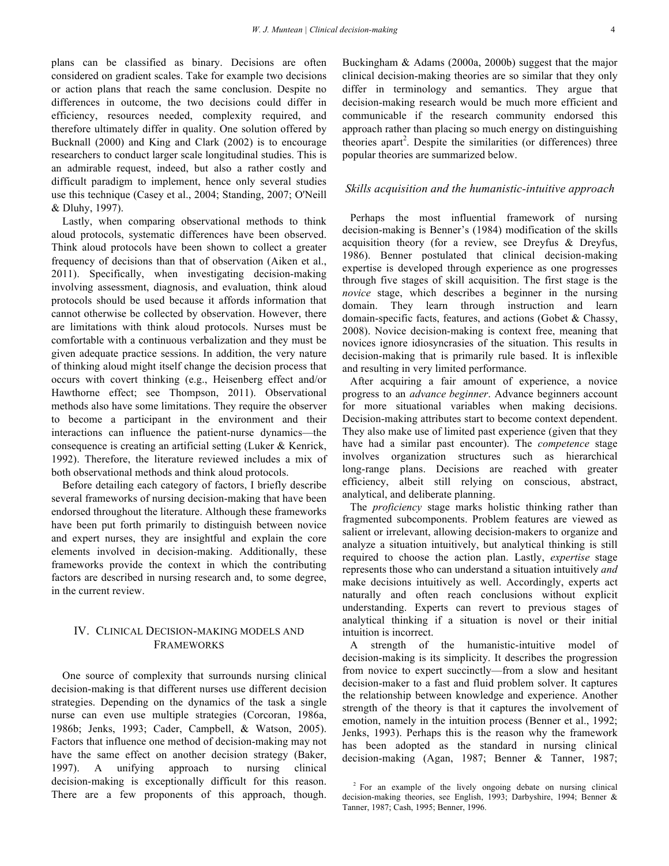plans can be classified as binary. Decisions are often considered on gradient scales. Take for example two decisions or action plans that reach the same conclusion. Despite no differences in outcome, the two decisions could differ in efficiency, resources needed, complexity required, and therefore ultimately differ in quality. One solution offered by Bucknall (2000) and King and Clark (2002) is to encourage researchers to conduct larger scale longitudinal studies. This is an admirable request, indeed, but also a rather costly and difficult paradigm to implement, hence only several studies use this technique (Casey et al., 2004; Standing, 2007; O'Neill & Dluhy, 1997).

Lastly, when comparing observational methods to think aloud protocols, systematic differences have been observed. Think aloud protocols have been shown to collect a greater frequency of decisions than that of observation (Aiken et al., 2011). Specifically, when investigating decision-making involving assessment, diagnosis, and evaluation, think aloud protocols should be used because it affords information that cannot otherwise be collected by observation. However, there are limitations with think aloud protocols. Nurses must be comfortable with a continuous verbalization and they must be given adequate practice sessions. In addition, the very nature of thinking aloud might itself change the decision process that occurs with covert thinking (e.g., Heisenberg effect and/or Hawthorne effect; see Thompson, 2011). Observational methods also have some limitations. They require the observer to become a participant in the environment and their interactions can influence the patient-nurse dynamics—the consequence is creating an artificial setting (Luker & Kenrick, 1992). Therefore, the literature reviewed includes a mix of both observational methods and think aloud protocols.

Before detailing each category of factors, I briefly describe several frameworks of nursing decision-making that have been endorsed throughout the literature. Although these frameworks have been put forth primarily to distinguish between novice and expert nurses, they are insightful and explain the core elements involved in decision-making. Additionally, these frameworks provide the context in which the contributing factors are described in nursing research and, to some degree, in the current review.

# IV. CLINICAL DECISION-MAKING MODELS AND FRAMEWORKS

One source of complexity that surrounds nursing clinical decision-making is that different nurses use different decision strategies. Depending on the dynamics of the task a single nurse can even use multiple strategies (Corcoran, 1986a, 1986b; Jenks, 1993; Cader, Campbell, & Watson, 2005). Factors that influence one method of decision-making may not have the same effect on another decision strategy (Baker, 1997). A unifying approach to nursing clinical decision-making is exceptionally difficult for this reason. There are a few proponents of this approach, though.

Buckingham & Adams (2000a, 2000b) suggest that the major clinical decision-making theories are so similar that they only differ in terminology and semantics. They argue that decision-making research would be much more efficient and communicable if the research community endorsed this approach rather than placing so much energy on distinguishing theories apart<sup>2</sup>. Despite the similarities (or differences) three popular theories are summarized below.

# *Skills acquisition and the humanistic-intuitive approach*

Perhaps the most influential framework of nursing decision-making is Benner's (1984) modification of the skills acquisition theory (for a review, see Dreyfus & Dreyfus, 1986). Benner postulated that clinical decision-making expertise is developed through experience as one progresses through five stages of skill acquisition. The first stage is the *novice* stage, which describes a beginner in the nursing domain. They learn through instruction and learn domain-specific facts, features, and actions (Gobet & Chassy, 2008). Novice decision-making is context free, meaning that novices ignore idiosyncrasies of the situation. This results in decision-making that is primarily rule based. It is inflexible and resulting in very limited performance.

After acquiring a fair amount of experience, a novice progress to an *advance beginner*. Advance beginners account for more situational variables when making decisions. Decision-making attributes start to become context dependent. They also make use of limited past experience (given that they have had a similar past encounter). The *competence* stage involves organization structures such as hierarchical long-range plans. Decisions are reached with greater efficiency, albeit still relying on conscious, abstract, analytical, and deliberate planning.

The *proficiency* stage marks holistic thinking rather than fragmented subcomponents. Problem features are viewed as salient or irrelevant, allowing decision-makers to organize and analyze a situation intuitively, but analytical thinking is still required to choose the action plan. Lastly, *expertise* stage represents those who can understand a situation intuitively *and* make decisions intuitively as well. Accordingly, experts act naturally and often reach conclusions without explicit understanding. Experts can revert to previous stages of analytical thinking if a situation is novel or their initial intuition is incorrect.

A strength of the humanistic-intuitive model of decision-making is its simplicity. It describes the progression from novice to expert succinctly—from a slow and hesitant decision-maker to a fast and fluid problem solver. It captures the relationship between knowledge and experience. Another strength of the theory is that it captures the involvement of emotion, namely in the intuition process (Benner et al., 1992; Jenks, 1993). Perhaps this is the reason why the framework has been adopted as the standard in nursing clinical decision-making (Agan, 1987; Benner & Tanner, 1987;

<sup>2</sup> For an example of the lively ongoing debate on nursing clinical decision-making theories, see English, 1993; Darbyshire, 1994; Benner & Tanner, 1987; Cash, 1995; Benner, 1996.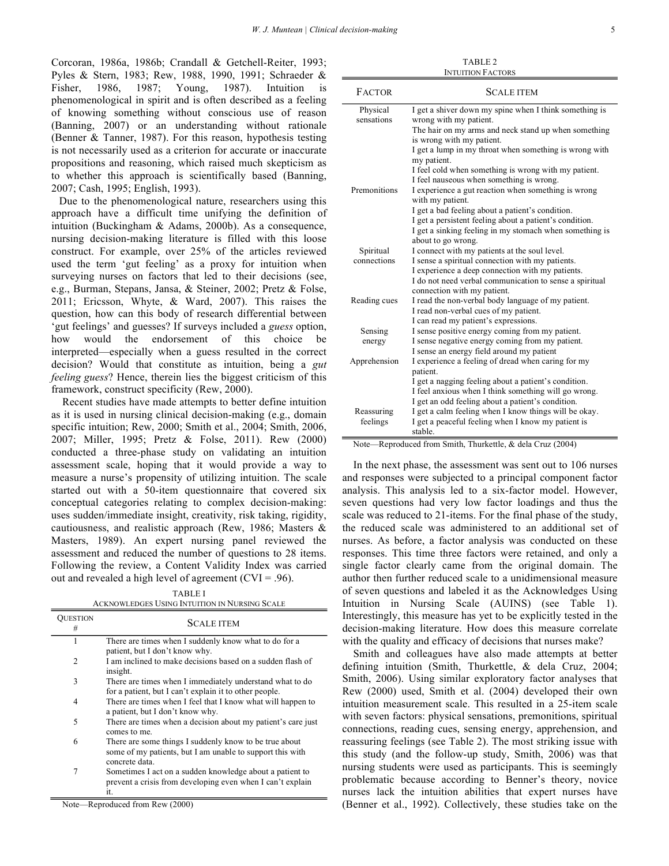Corcoran, 1986a, 1986b; Crandall & Getchell-Reiter, 1993; Pyles & Stern, 1983; Rew, 1988, 1990, 1991; Schraeder & Fisher, 1986, 1987; Young, 1987). Intuition is phenomenological in spirit and is often described as a feeling of knowing something without conscious use of reason (Banning, 2007) or an understanding without rationale (Benner & Tanner, 1987). For this reason, hypothesis testing is not necessarily used as a criterion for accurate or inaccurate propositions and reasoning, which raised much skepticism as to whether this approach is scientifically based (Banning, 2007; Cash, 1995; English, 1993).

Due to the phenomenological nature, researchers using this approach have a difficult time unifying the definition of intuition (Buckingham & Adams, 2000b). As a consequence, nursing decision-making literature is filled with this loose construct. For example, over 25% of the articles reviewed used the term 'gut feeling' as a proxy for intuition when surveying nurses on factors that led to their decisions (see, e.g., Burman, Stepans, Jansa, & Steiner, 2002; Pretz & Folse, 2011; Ericsson, Whyte, & Ward, 2007). This raises the question, how can this body of research differential between 'gut feelings' and guesses? If surveys included a *guess* option, how would the endorsement of this choice be interpreted—especially when a guess resulted in the correct decision? Would that constitute as intuition, being a *gut feeling guess*? Hence, therein lies the biggest criticism of this framework, construct specificity (Rew, 2000).

Recent studies have made attempts to better define intuition as it is used in nursing clinical decision-making (e.g., domain specific intuition; Rew, 2000; Smith et al., 2004; Smith, 2006, 2007; Miller, 1995; Pretz & Folse, 2011). Rew (2000) conducted a three-phase study on validating an intuition assessment scale, hoping that it would provide a way to measure a nurse's propensity of utilizing intuition. The scale started out with a 50-item questionnaire that covered six conceptual categories relating to complex decision-making: uses sudden/immediate insight, creativity, risk taking, rigidity, cautiousness, and realistic approach (Rew, 1986; Masters & Masters, 1989). An expert nursing panel reviewed the assessment and reduced the number of questions to 28 items. Following the review, a Content Validity Index was carried out and revealed a high level of agreement (CVI = .96).

| ACKNOWLEDGES USING INTUITION IN NURSING SCALE |  |  |
|-----------------------------------------------|--|--|
|                                               |  |  |

| OUESTION<br># | <b>SCALE ITEM</b>                                                                                                                     |
|---------------|---------------------------------------------------------------------------------------------------------------------------------------|
| 1             | There are times when I suddenly know what to do for a<br>patient, but I don't know why.                                               |
| 2             | I am inclined to make decisions based on a sudden flash of<br>insight.                                                                |
| 3             | There are times when I immediately understand what to do<br>for a patient, but I can't explain it to other people.                    |
| 4             | There are times when I feel that I know what will happen to<br>a patient, but I don't know why.                                       |
| 5             | There are times when a decision about my patient's care just<br>comes to me.                                                          |
| 6             | There are some things I suddenly know to be true about<br>some of my patients, but I am unable to support this with<br>concrete data. |
| 7             | Sometimes I act on a sudden knowledge about a patient to<br>prevent a crisis from developing even when I can't explain<br>it.         |

Note—Reproduced from Rew (2000)

TABLE 2 INTUITION FACTORS

| <b>FACTOR</b> | <b>SCALE ITEM</b>                                                       |
|---------------|-------------------------------------------------------------------------|
| Physical      | I get a shiver down my spine when I think something is                  |
| sensations    | wrong with my patient.                                                  |
|               | The hair on my arms and neck stand up when something                    |
|               | is wrong with my patient.                                               |
|               | I get a lump in my throat when something is wrong with<br>my patient.   |
|               | I feel cold when something is wrong with my patient.                    |
|               | I feel nauseous when something is wrong.                                |
| Premonitions  | I experience a gut reaction when something is wrong<br>with my patient. |
|               | I get a bad feeling about a patient's condition.                        |
|               | I get a persistent feeling about a patient's condition.                 |
|               | I get a sinking feeling in my stomach when something is                 |
|               | about to go wrong.                                                      |
| Spiritual     | I connect with my patients at the soul level.                           |
| connections   | I sense a spiritual connection with my patients.                        |
|               | I experience a deep connection with my patients.                        |
|               | I do not need verbal communication to sense a spiritual                 |
|               | connection with my patient.                                             |
| Reading cues  | I read the non-verbal body language of my patient.                      |
|               | I read non-verbal cues of my patient.                                   |
|               | I can read my patient's expressions.                                    |
| Sensing       | I sense positive energy coming from my patient.                         |
| energy        | I sense negative energy coming from my patient.                         |
|               | I sense an energy field around my patient                               |
| Apprehension  | I experience a feeling of dread when caring for my                      |
|               | patient.                                                                |
|               | I get a nagging feeling about a patient's condition.                    |
|               | I feel anxious when I think something will go wrong.                    |
|               | I get an odd feeling about a patient's condition.                       |
| Reassuring    | I get a calm feeling when I know things will be okay.                   |
| feelings      | I get a peaceful feeling when I know my patient is                      |
|               | stable.                                                                 |

Note—Reproduced from Smith, Thurkettle, & dela Cruz (2004)

In the next phase, the assessment was sent out to 106 nurses and responses were subjected to a principal component factor analysis. This analysis led to a six-factor model. However, seven questions had very low factor loadings and thus the scale was reduced to 21-items. For the final phase of the study, the reduced scale was administered to an additional set of nurses. As before, a factor analysis was conducted on these responses. This time three factors were retained, and only a single factor clearly came from the original domain. The author then further reduced scale to a unidimensional measure of seven questions and labeled it as the Acknowledges Using Intuition in Nursing Scale (AUINS) (see Table 1). Interestingly, this measure has yet to be explicitly tested in the decision-making literature. How does this measure correlate with the quality and efficacy of decisions that nurses make?

Smith and colleagues have also made attempts at better defining intuition (Smith, Thurkettle, & dela Cruz, 2004; Smith, 2006). Using similar exploratory factor analyses that Rew (2000) used, Smith et al. (2004) developed their own intuition measurement scale. This resulted in a 25-item scale with seven factors: physical sensations, premonitions, spiritual connections, reading cues, sensing energy, apprehension, and reassuring feelings (see Table 2). The most striking issue with this study (and the follow-up study, Smith, 2006) was that nursing students were used as participants. This is seemingly problematic because according to Benner's theory, novice nurses lack the intuition abilities that expert nurses have (Benner et al., 1992). Collectively, these studies take on the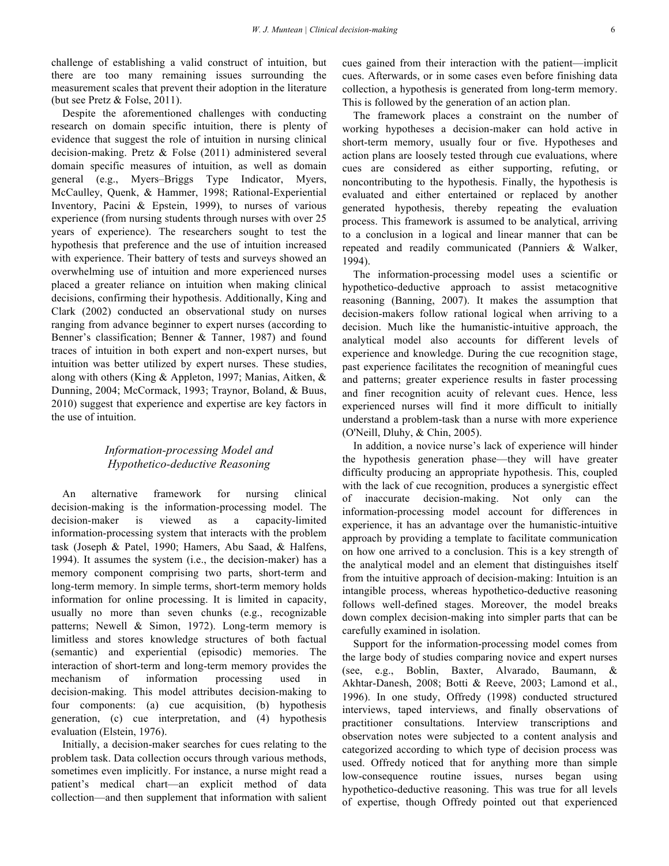challenge of establishing a valid construct of intuition, but there are too many remaining issues surrounding the measurement scales that prevent their adoption in the literature (but see Pretz & Folse, 2011).

Despite the aforementioned challenges with conducting research on domain specific intuition, there is plenty of evidence that suggest the role of intuition in nursing clinical decision-making. Pretz & Folse (2011) administered several domain specific measures of intuition, as well as domain general (e.g., Myers–Briggs Type Indicator, Myers, McCaulley, Quenk, & Hammer, 1998; Rational-Experiential Inventory, Pacini & Epstein, 1999), to nurses of various experience (from nursing students through nurses with over 25 years of experience). The researchers sought to test the hypothesis that preference and the use of intuition increased with experience. Their battery of tests and surveys showed an overwhelming use of intuition and more experienced nurses placed a greater reliance on intuition when making clinical decisions, confirming their hypothesis. Additionally, King and Clark (2002) conducted an observational study on nurses ranging from advance beginner to expert nurses (according to Benner's classification; Benner & Tanner, 1987) and found traces of intuition in both expert and non-expert nurses, but intuition was better utilized by expert nurses. These studies, along with others (King & Appleton, 1997; Manias, Aitken, & Dunning, 2004; McCormack, 1993; Traynor, Boland, & Buus, 2010) suggest that experience and expertise are key factors in the use of intuition.

# *Information-processing Model and Hypothetico-deductive Reasoning*

An alternative framework for nursing clinical decision-making is the information-processing model. The decision-maker is viewed as a capacity-limited information-processing system that interacts with the problem task (Joseph & Patel, 1990; Hamers, Abu Saad, & Halfens, 1994). It assumes the system (i.e., the decision-maker) has a memory component comprising two parts, short-term and long-term memory. In simple terms, short-term memory holds information for online processing. It is limited in capacity, usually no more than seven chunks (e.g., recognizable patterns; Newell & Simon, 1972). Long-term memory is limitless and stores knowledge structures of both factual (semantic) and experiential (episodic) memories. The interaction of short-term and long-term memory provides the mechanism of information processing used in decision-making. This model attributes decision-making to four components: (a) cue acquisition, (b) hypothesis generation, (c) cue interpretation, and (4) hypothesis evaluation (Elstein, 1976).

Initially, a decision-maker searches for cues relating to the problem task. Data collection occurs through various methods, sometimes even implicitly. For instance, a nurse might read a patient's medical chart—an explicit method of data collection—and then supplement that information with salient cues gained from their interaction with the patient—implicit cues. Afterwards, or in some cases even before finishing data collection, a hypothesis is generated from long-term memory. This is followed by the generation of an action plan.

The framework places a constraint on the number of working hypotheses a decision-maker can hold active in short-term memory, usually four or five. Hypotheses and action plans are loosely tested through cue evaluations, where cues are considered as either supporting, refuting, or noncontributing to the hypothesis. Finally, the hypothesis is evaluated and either entertained or replaced by another generated hypothesis, thereby repeating the evaluation process. This framework is assumed to be analytical, arriving to a conclusion in a logical and linear manner that can be repeated and readily communicated (Panniers & Walker, 1994).

The information-processing model uses a scientific or hypothetico-deductive approach to assist metacognitive reasoning (Banning, 2007). It makes the assumption that decision-makers follow rational logical when arriving to a decision. Much like the humanistic-intuitive approach, the analytical model also accounts for different levels of experience and knowledge. During the cue recognition stage, past experience facilitates the recognition of meaningful cues and patterns; greater experience results in faster processing and finer recognition acuity of relevant cues. Hence, less experienced nurses will find it more difficult to initially understand a problem-task than a nurse with more experience (O'Neill, Dluhy, & Chin, 2005).

In addition, a novice nurse's lack of experience will hinder the hypothesis generation phase—they will have greater difficulty producing an appropriate hypothesis. This, coupled with the lack of cue recognition, produces a synergistic effect of inaccurate decision-making. Not only can the information-processing model account for differences in experience, it has an advantage over the humanistic-intuitive approach by providing a template to facilitate communication on how one arrived to a conclusion. This is a key strength of the analytical model and an element that distinguishes itself from the intuitive approach of decision-making: Intuition is an intangible process, whereas hypothetico-deductive reasoning follows well-defined stages. Moreover, the model breaks down complex decision-making into simpler parts that can be carefully examined in isolation.

Support for the information-processing model comes from the large body of studies comparing novice and expert nurses (see, e.g., Boblin, Baxter, Alvarado, Baumann, & Akhtar-Danesh, 2008; Botti & Reeve, 2003; Lamond et al., 1996). In one study, Offredy (1998) conducted structured interviews, taped interviews, and finally observations of practitioner consultations. Interview transcriptions and observation notes were subjected to a content analysis and categorized according to which type of decision process was used. Offredy noticed that for anything more than simple low-consequence routine issues, nurses began using hypothetico-deductive reasoning. This was true for all levels of expertise, though Offredy pointed out that experienced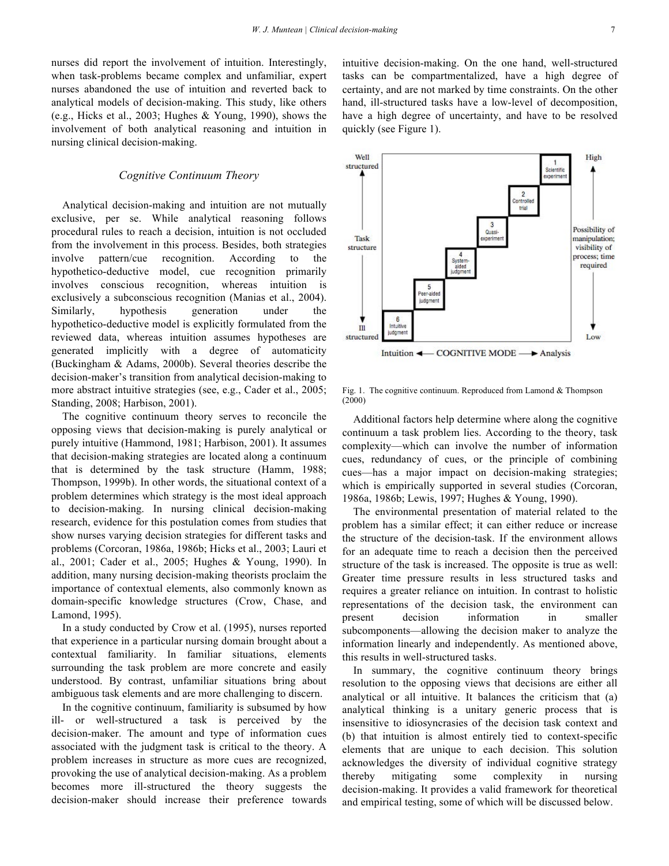nurses did report the involvement of intuition. Interestingly, when task-problems became complex and unfamiliar, expert nurses abandoned the use of intuition and reverted back to analytical models of decision-making. This study, like others (e.g., Hicks et al., 2003; Hughes & Young, 1990), shows the involvement of both analytical reasoning and intuition in nursing clinical decision-making.

# *Cognitive Continuum Theory*

Analytical decision-making and intuition are not mutually exclusive, per se. While analytical reasoning follows procedural rules to reach a decision, intuition is not occluded from the involvement in this process. Besides, both strategies involve pattern/cue recognition. According to the hypothetico-deductive model, cue recognition primarily involves conscious recognition, whereas intuition is exclusively a subconscious recognition (Manias et al., 2004). Similarly, hypothesis generation under the hypothetico-deductive model is explicitly formulated from the reviewed data, whereas intuition assumes hypotheses are generated implicitly with a degree of automaticity (Buckingham & Adams, 2000b). Several theories describe the decision-maker's transition from analytical decision-making to more abstract intuitive strategies (see, e.g., Cader et al., 2005; Standing, 2008; Harbison, 2001).

The cognitive continuum theory serves to reconcile the opposing views that decision-making is purely analytical or purely intuitive (Hammond, 1981; Harbison, 2001). It assumes that decision-making strategies are located along a continuum that is determined by the task structure (Hamm, 1988; Thompson, 1999b). In other words, the situational context of a problem determines which strategy is the most ideal approach to decision-making. In nursing clinical decision-making research, evidence for this postulation comes from studies that show nurses varying decision strategies for different tasks and problems (Corcoran, 1986a, 1986b; Hicks et al., 2003; Lauri et al., 2001; Cader et al., 2005; Hughes & Young, 1990). In addition, many nursing decision-making theorists proclaim the importance of contextual elements, also commonly known as domain-specific knowledge structures (Crow, Chase, and Lamond, 1995).

In a study conducted by Crow et al. (1995), nurses reported that experience in a particular nursing domain brought about a contextual familiarity. In familiar situations, elements surrounding the task problem are more concrete and easily understood. By contrast, unfamiliar situations bring about ambiguous task elements and are more challenging to discern.

In the cognitive continuum, familiarity is subsumed by how ill- or well-structured a task is perceived by the decision-maker. The amount and type of information cues associated with the judgment task is critical to the theory. A problem increases in structure as more cues are recognized, provoking the use of analytical decision-making. As a problem becomes more ill-structured the theory suggests the decision-maker should increase their preference towards intuitive decision-making. On the one hand, well-structured tasks can be compartmentalized, have a high degree of certainty, and are not marked by time constraints. On the other hand, ill-structured tasks have a low-level of decomposition, have a high degree of uncertainty, and have to be resolved quickly (see Figure 1).



Fig. 1. The cognitive continuum. Reproduced from Lamond & Thompson (2000)

Additional factors help determine where along the cognitive continuum a task problem lies. According to the theory, task complexity—which can involve the number of information cues, redundancy of cues, or the principle of combining cues—has a major impact on decision-making strategies; which is empirically supported in several studies (Corcoran, 1986a, 1986b; Lewis, 1997; Hughes & Young, 1990).

The environmental presentation of material related to the problem has a similar effect; it can either reduce or increase the structure of the decision-task. If the environment allows for an adequate time to reach a decision then the perceived structure of the task is increased. The opposite is true as well: Greater time pressure results in less structured tasks and requires a greater reliance on intuition. In contrast to holistic representations of the decision task, the environment can present decision information in smaller subcomponents—allowing the decision maker to analyze the information linearly and independently. As mentioned above, this results in well-structured tasks.

In summary, the cognitive continuum theory brings resolution to the opposing views that decisions are either all analytical or all intuitive. It balances the criticism that (a) analytical thinking is a unitary generic process that is insensitive to idiosyncrasies of the decision task context and (b) that intuition is almost entirely tied to context-specific elements that are unique to each decision. This solution acknowledges the diversity of individual cognitive strategy thereby mitigating some complexity in nursing decision-making. It provides a valid framework for theoretical and empirical testing, some of which will be discussed below.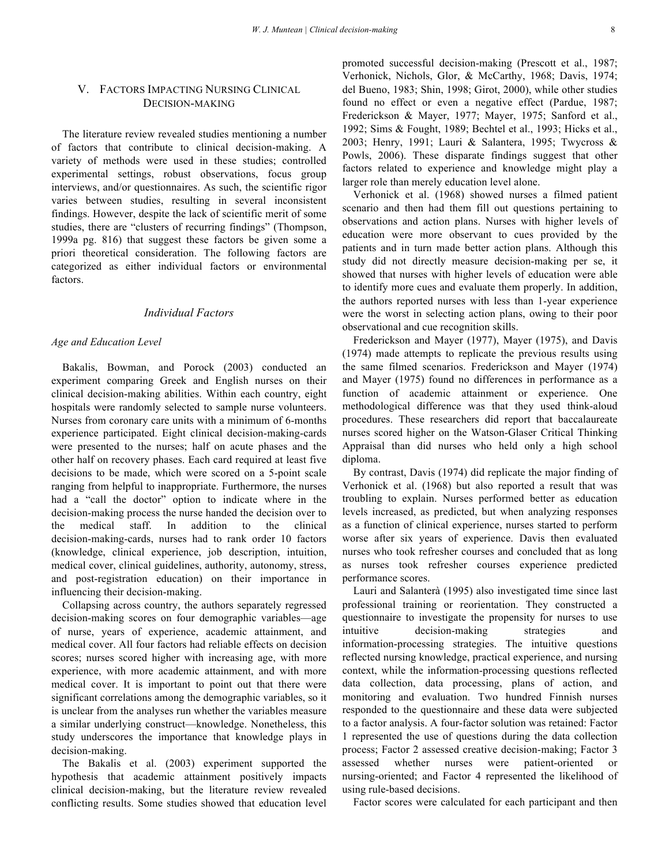# V. FACTORS IMPACTING NURSING CLINICAL DECISION-MAKING

The literature review revealed studies mentioning a number of factors that contribute to clinical decision-making. A variety of methods were used in these studies; controlled experimental settings, robust observations, focus group interviews, and/or questionnaires. As such, the scientific rigor varies between studies, resulting in several inconsistent findings. However, despite the lack of scientific merit of some studies, there are "clusters of recurring findings" (Thompson, 1999a pg. 816) that suggest these factors be given some a priori theoretical consideration. The following factors are categorized as either individual factors or environmental factors.

# *Individual Factors*

## *Age and Education Level*

Bakalis, Bowman, and Porock (2003) conducted an experiment comparing Greek and English nurses on their clinical decision-making abilities. Within each country, eight hospitals were randomly selected to sample nurse volunteers. Nurses from coronary care units with a minimum of 6-months experience participated. Eight clinical decision-making-cards were presented to the nurses; half on acute phases and the other half on recovery phases. Each card required at least five decisions to be made, which were scored on a 5-point scale ranging from helpful to inappropriate. Furthermore, the nurses had a "call the doctor" option to indicate where in the decision-making process the nurse handed the decision over to the medical staff. In addition to the clinical decision-making-cards, nurses had to rank order 10 factors (knowledge, clinical experience, job description, intuition, medical cover, clinical guidelines, authority, autonomy, stress, and post-registration education) on their importance in influencing their decision-making.

Collapsing across country, the authors separately regressed decision-making scores on four demographic variables—age of nurse, years of experience, academic attainment, and medical cover. All four factors had reliable effects on decision scores; nurses scored higher with increasing age, with more experience, with more academic attainment, and with more medical cover. It is important to point out that there were significant correlations among the demographic variables, so it is unclear from the analyses run whether the variables measure a similar underlying construct—knowledge. Nonetheless, this study underscores the importance that knowledge plays in decision-making.

The Bakalis et al. (2003) experiment supported the hypothesis that academic attainment positively impacts clinical decision-making, but the literature review revealed conflicting results. Some studies showed that education level promoted successful decision-making (Prescott et al., 1987; Verhonick, Nichols, Glor, & McCarthy, 1968; Davis, 1974; del Bueno, 1983; Shin, 1998; Girot, 2000), while other studies found no effect or even a negative effect (Pardue, 1987; Frederickson & Mayer, 1977; Mayer, 1975; Sanford et al., 1992; Sims & Fought, 1989; Bechtel et al., 1993; Hicks et al., 2003; Henry, 1991; Lauri & Salantera, 1995; Twycross & Powls, 2006). These disparate findings suggest that other factors related to experience and knowledge might play a larger role than merely education level alone.

Verhonick et al. (1968) showed nurses a filmed patient scenario and then had them fill out questions pertaining to observations and action plans. Nurses with higher levels of education were more observant to cues provided by the patients and in turn made better action plans. Although this study did not directly measure decision-making per se, it showed that nurses with higher levels of education were able to identify more cues and evaluate them properly. In addition, the authors reported nurses with less than 1-year experience were the worst in selecting action plans, owing to their poor observational and cue recognition skills.

Frederickson and Mayer (1977), Mayer (1975), and Davis (1974) made attempts to replicate the previous results using the same filmed scenarios. Frederickson and Mayer (1974) and Mayer (1975) found no differences in performance as a function of academic attainment or experience. One methodological difference was that they used think-aloud procedures. These researchers did report that baccalaureate nurses scored higher on the Watson-Glaser Critical Thinking Appraisal than did nurses who held only a high school diploma.

By contrast, Davis (1974) did replicate the major finding of Verhonick et al. (1968) but also reported a result that was troubling to explain. Nurses performed better as education levels increased, as predicted, but when analyzing responses as a function of clinical experience, nurses started to perform worse after six years of experience. Davis then evaluated nurses who took refresher courses and concluded that as long as nurses took refresher courses experience predicted performance scores.

Lauri and Salanterà (1995) also investigated time since last professional training or reorientation. They constructed a questionnaire to investigate the propensity for nurses to use intuitive decision-making strategies and information-processing strategies. The intuitive questions reflected nursing knowledge, practical experience, and nursing context, while the information-processing questions reflected data collection, data processing, plans of action, and monitoring and evaluation. Two hundred Finnish nurses responded to the questionnaire and these data were subjected to a factor analysis. A four-factor solution was retained: Factor 1 represented the use of questions during the data collection process; Factor 2 assessed creative decision-making; Factor 3 assessed whether nurses were patient-oriented or nursing-oriented; and Factor 4 represented the likelihood of using rule-based decisions.

Factor scores were calculated for each participant and then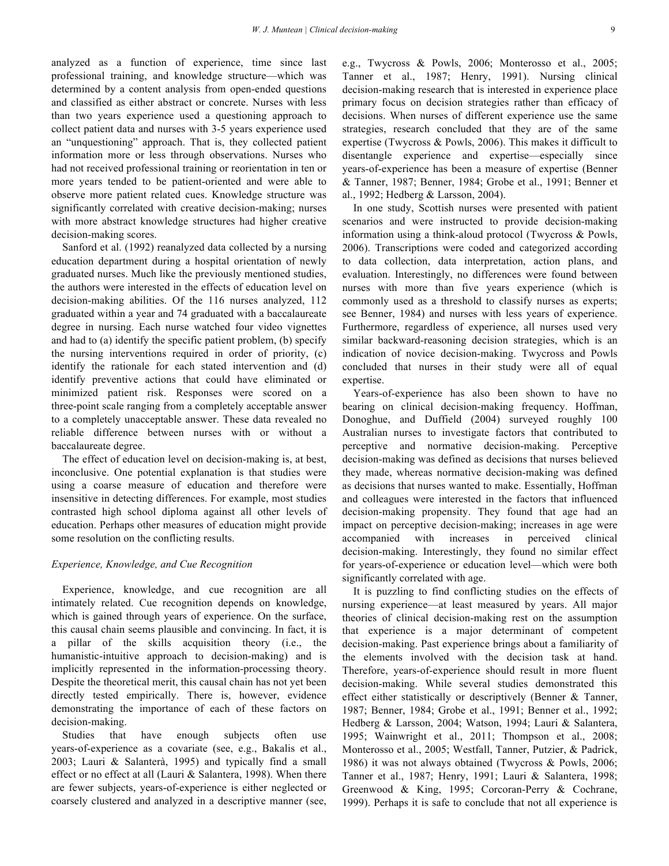analyzed as a function of experience, time since last professional training, and knowledge structure—which was determined by a content analysis from open-ended questions and classified as either abstract or concrete. Nurses with less than two years experience used a questioning approach to collect patient data and nurses with 3-5 years experience used an "unquestioning" approach. That is, they collected patient information more or less through observations. Nurses who had not received professional training or reorientation in ten or more years tended to be patient-oriented and were able to observe more patient related cues. Knowledge structure was significantly correlated with creative decision-making; nurses with more abstract knowledge structures had higher creative decision-making scores.

Sanford et al. (1992) reanalyzed data collected by a nursing education department during a hospital orientation of newly graduated nurses. Much like the previously mentioned studies, the authors were interested in the effects of education level on decision-making abilities. Of the 116 nurses analyzed, 112 graduated within a year and 74 graduated with a baccalaureate degree in nursing. Each nurse watched four video vignettes and had to (a) identify the specific patient problem, (b) specify the nursing interventions required in order of priority, (c) identify the rationale for each stated intervention and (d) identify preventive actions that could have eliminated or minimized patient risk. Responses were scored on a three-point scale ranging from a completely acceptable answer to a completely unacceptable answer. These data revealed no reliable difference between nurses with or without a baccalaureate degree.

The effect of education level on decision-making is, at best, inconclusive. One potential explanation is that studies were using a coarse measure of education and therefore were insensitive in detecting differences. For example, most studies contrasted high school diploma against all other levels of education. Perhaps other measures of education might provide some resolution on the conflicting results.

# *Experience, Knowledge, and Cue Recognition*

Experience, knowledge, and cue recognition are all intimately related. Cue recognition depends on knowledge, which is gained through years of experience. On the surface, this causal chain seems plausible and convincing. In fact, it is a pillar of the skills acquisition theory (i.e., the humanistic-intuitive approach to decision-making) and is implicitly represented in the information-processing theory. Despite the theoretical merit, this causal chain has not yet been directly tested empirically. There is, however, evidence demonstrating the importance of each of these factors on decision-making.

Studies that have enough subjects often use years-of-experience as a covariate (see, e.g., Bakalis et al., 2003; Lauri & Salanterà, 1995) and typically find a small effect or no effect at all (Lauri & Salantera, 1998). When there are fewer subjects, years-of-experience is either neglected or coarsely clustered and analyzed in a descriptive manner (see, e.g., Twycross & Powls, 2006; Monterosso et al., 2005; Tanner et al., 1987; Henry, 1991). Nursing clinical decision-making research that is interested in experience place primary focus on decision strategies rather than efficacy of decisions. When nurses of different experience use the same strategies, research concluded that they are of the same expertise (Twycross & Powls, 2006). This makes it difficult to disentangle experience and expertise—especially since years-of-experience has been a measure of expertise (Benner & Tanner, 1987; Benner, 1984; Grobe et al., 1991; Benner et al., 1992; Hedberg & Larsson, 2004).

In one study, Scottish nurses were presented with patient scenarios and were instructed to provide decision-making information using a think-aloud protocol (Twycross & Powls, 2006). Transcriptions were coded and categorized according to data collection, data interpretation, action plans, and evaluation. Interestingly, no differences were found between nurses with more than five years experience (which is commonly used as a threshold to classify nurses as experts; see Benner, 1984) and nurses with less years of experience. Furthermore, regardless of experience, all nurses used very similar backward-reasoning decision strategies, which is an indication of novice decision-making. Twycross and Powls concluded that nurses in their study were all of equal expertise.

Years-of-experience has also been shown to have no bearing on clinical decision-making frequency. Hoffman, Donoghue, and Duffield (2004) surveyed roughly 100 Australian nurses to investigate factors that contributed to perceptive and normative decision-making. Perceptive decision-making was defined as decisions that nurses believed they made, whereas normative decision-making was defined as decisions that nurses wanted to make. Essentially, Hoffman and colleagues were interested in the factors that influenced decision-making propensity. They found that age had an impact on perceptive decision-making; increases in age were accompanied with increases in perceived clinical decision-making. Interestingly, they found no similar effect for years-of-experience or education level—which were both significantly correlated with age.

It is puzzling to find conflicting studies on the effects of nursing experience—at least measured by years. All major theories of clinical decision-making rest on the assumption that experience is a major determinant of competent decision-making. Past experience brings about a familiarity of the elements involved with the decision task at hand. Therefore, years-of-experience should result in more fluent decision-making. While several studies demonstrated this effect either statistically or descriptively (Benner & Tanner, 1987; Benner, 1984; Grobe et al., 1991; Benner et al., 1992; Hedberg & Larsson, 2004; Watson, 1994; Lauri & Salantera, 1995; Wainwright et al., 2011; Thompson et al., 2008; Monterosso et al., 2005; Westfall, Tanner, Putzier, & Padrick, 1986) it was not always obtained (Twycross & Powls, 2006; Tanner et al., 1987; Henry, 1991; Lauri & Salantera, 1998; Greenwood & King, 1995; Corcoran-Perry & Cochrane, 1999). Perhaps it is safe to conclude that not all experience is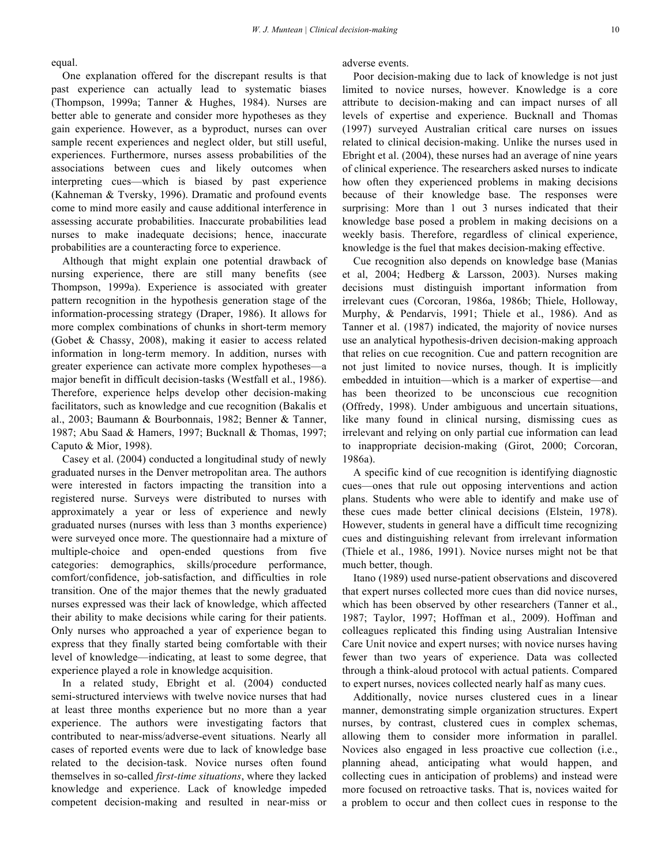equal.

One explanation offered for the discrepant results is that past experience can actually lead to systematic biases (Thompson, 1999a; Tanner & Hughes, 1984). Nurses are better able to generate and consider more hypotheses as they gain experience. However, as a byproduct, nurses can over sample recent experiences and neglect older, but still useful, experiences. Furthermore, nurses assess probabilities of the associations between cues and likely outcomes when interpreting cues—which is biased by past experience (Kahneman & Tversky, 1996). Dramatic and profound events come to mind more easily and cause additional interference in assessing accurate probabilities. Inaccurate probabilities lead nurses to make inadequate decisions; hence, inaccurate probabilities are a counteracting force to experience.

Although that might explain one potential drawback of nursing experience, there are still many benefits (see Thompson, 1999a). Experience is associated with greater pattern recognition in the hypothesis generation stage of the information-processing strategy (Draper, 1986). It allows for more complex combinations of chunks in short-term memory (Gobet & Chassy, 2008), making it easier to access related information in long-term memory. In addition, nurses with greater experience can activate more complex hypotheses—a major benefit in difficult decision-tasks (Westfall et al., 1986). Therefore, experience helps develop other decision-making facilitators, such as knowledge and cue recognition (Bakalis et al., 2003; Baumann & Bourbonnais, 1982; Benner & Tanner, 1987; Abu Saad & Hamers, 1997; Bucknall & Thomas, 1997; Caputo & Mior, 1998).

Casey et al. (2004) conducted a longitudinal study of newly graduated nurses in the Denver metropolitan area. The authors were interested in factors impacting the transition into a registered nurse. Surveys were distributed to nurses with approximately a year or less of experience and newly graduated nurses (nurses with less than 3 months experience) were surveyed once more. The questionnaire had a mixture of multiple-choice and open-ended questions from five categories: demographics, skills/procedure performance, comfort/confidence, job-satisfaction, and difficulties in role transition. One of the major themes that the newly graduated nurses expressed was their lack of knowledge, which affected their ability to make decisions while caring for their patients. Only nurses who approached a year of experience began to express that they finally started being comfortable with their level of knowledge—indicating, at least to some degree, that experience played a role in knowledge acquisition.

In a related study, Ebright et al. (2004) conducted semi-structured interviews with twelve novice nurses that had at least three months experience but no more than a year experience. The authors were investigating factors that contributed to near-miss/adverse-event situations. Nearly all cases of reported events were due to lack of knowledge base related to the decision-task. Novice nurses often found themselves in so-called *first-time situations*, where they lacked knowledge and experience. Lack of knowledge impeded competent decision-making and resulted in near-miss or adverse events.

Poor decision-making due to lack of knowledge is not just limited to novice nurses, however. Knowledge is a core attribute to decision-making and can impact nurses of all levels of expertise and experience. Bucknall and Thomas (1997) surveyed Australian critical care nurses on issues related to clinical decision-making. Unlike the nurses used in Ebright et al. (2004), these nurses had an average of nine years of clinical experience. The researchers asked nurses to indicate how often they experienced problems in making decisions because of their knowledge base. The responses were surprising: More than 1 out 3 nurses indicated that their knowledge base posed a problem in making decisions on a weekly basis. Therefore, regardless of clinical experience, knowledge is the fuel that makes decision-making effective.

Cue recognition also depends on knowledge base (Manias et al, 2004; Hedberg & Larsson, 2003). Nurses making decisions must distinguish important information from irrelevant cues (Corcoran, 1986a, 1986b; Thiele, Holloway, Murphy, & Pendarvis, 1991; Thiele et al., 1986). And as Tanner et al. (1987) indicated, the majority of novice nurses use an analytical hypothesis-driven decision-making approach that relies on cue recognition. Cue and pattern recognition are not just limited to novice nurses, though. It is implicitly embedded in intuition—which is a marker of expertise—and has been theorized to be unconscious cue recognition (Offredy, 1998). Under ambiguous and uncertain situations, like many found in clinical nursing, dismissing cues as irrelevant and relying on only partial cue information can lead to inappropriate decision-making (Girot, 2000; Corcoran, 1986a).

A specific kind of cue recognition is identifying diagnostic cues—ones that rule out opposing interventions and action plans. Students who were able to identify and make use of these cues made better clinical decisions (Elstein, 1978). However, students in general have a difficult time recognizing cues and distinguishing relevant from irrelevant information (Thiele et al., 1986, 1991). Novice nurses might not be that much better, though.

Itano (1989) used nurse-patient observations and discovered that expert nurses collected more cues than did novice nurses, which has been observed by other researchers (Tanner et al., 1987; Taylor, 1997; Hoffman et al., 2009). Hoffman and colleagues replicated this finding using Australian Intensive Care Unit novice and expert nurses; with novice nurses having fewer than two years of experience. Data was collected through a think-aloud protocol with actual patients. Compared to expert nurses, novices collected nearly half as many cues.

Additionally, novice nurses clustered cues in a linear manner, demonstrating simple organization structures. Expert nurses, by contrast, clustered cues in complex schemas, allowing them to consider more information in parallel. Novices also engaged in less proactive cue collection (i.e., planning ahead, anticipating what would happen, and collecting cues in anticipation of problems) and instead were more focused on retroactive tasks. That is, novices waited for a problem to occur and then collect cues in response to the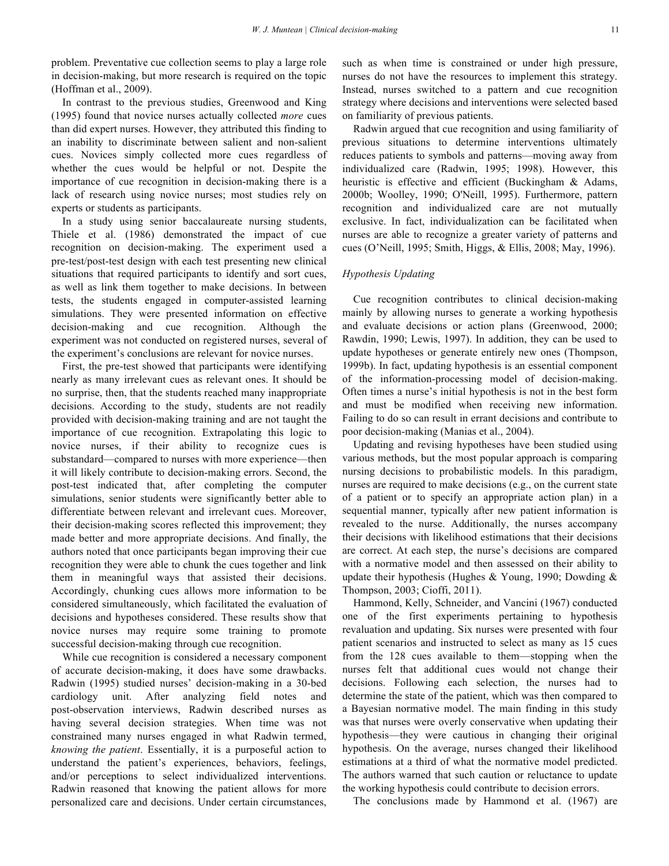problem. Preventative cue collection seems to play a large role in decision-making, but more research is required on the topic (Hoffman et al., 2009).

In contrast to the previous studies, Greenwood and King (1995) found that novice nurses actually collected *more* cues than did expert nurses. However, they attributed this finding to an inability to discriminate between salient and non-salient cues. Novices simply collected more cues regardless of whether the cues would be helpful or not. Despite the importance of cue recognition in decision-making there is a lack of research using novice nurses; most studies rely on experts or students as participants.

In a study using senior baccalaureate nursing students, Thiele et al. (1986) demonstrated the impact of cue recognition on decision-making. The experiment used a pre-test/post-test design with each test presenting new clinical situations that required participants to identify and sort cues, as well as link them together to make decisions. In between tests, the students engaged in computer-assisted learning simulations. They were presented information on effective decision-making and cue recognition. Although the experiment was not conducted on registered nurses, several of the experiment's conclusions are relevant for novice nurses.

First, the pre-test showed that participants were identifying nearly as many irrelevant cues as relevant ones. It should be no surprise, then, that the students reached many inappropriate decisions. According to the study, students are not readily provided with decision-making training and are not taught the importance of cue recognition. Extrapolating this logic to novice nurses, if their ability to recognize cues is substandard—compared to nurses with more experience—then it will likely contribute to decision-making errors. Second, the post-test indicated that, after completing the computer simulations, senior students were significantly better able to differentiate between relevant and irrelevant cues. Moreover, their decision-making scores reflected this improvement; they made better and more appropriate decisions. And finally, the authors noted that once participants began improving their cue recognition they were able to chunk the cues together and link them in meaningful ways that assisted their decisions. Accordingly, chunking cues allows more information to be considered simultaneously, which facilitated the evaluation of decisions and hypotheses considered. These results show that novice nurses may require some training to promote successful decision-making through cue recognition.

While cue recognition is considered a necessary component of accurate decision-making, it does have some drawbacks. Radwin (1995) studied nurses' decision-making in a 30-bed cardiology unit. After analyzing field notes and post-observation interviews, Radwin described nurses as having several decision strategies. When time was not constrained many nurses engaged in what Radwin termed, *knowing the patient*. Essentially, it is a purposeful action to understand the patient's experiences, behaviors, feelings, and/or perceptions to select individualized interventions. Radwin reasoned that knowing the patient allows for more personalized care and decisions. Under certain circumstances,

such as when time is constrained or under high pressure, nurses do not have the resources to implement this strategy. Instead, nurses switched to a pattern and cue recognition strategy where decisions and interventions were selected based on familiarity of previous patients.

Radwin argued that cue recognition and using familiarity of previous situations to determine interventions ultimately reduces patients to symbols and patterns—moving away from individualized care (Radwin, 1995; 1998). However, this heuristic is effective and efficient (Buckingham & Adams, 2000b; Woolley, 1990; O'Neill, 1995). Furthermore, pattern recognition and individualized care are not mutually exclusive. In fact, individualization can be facilitated when nurses are able to recognize a greater variety of patterns and cues (O'Neill, 1995; Smith, Higgs, & Ellis, 2008; May, 1996).

# *Hypothesis Updating*

Cue recognition contributes to clinical decision-making mainly by allowing nurses to generate a working hypothesis and evaluate decisions or action plans (Greenwood, 2000; Rawdin, 1990; Lewis, 1997). In addition, they can be used to update hypotheses or generate entirely new ones (Thompson, 1999b). In fact, updating hypothesis is an essential component of the information-processing model of decision-making. Often times a nurse's initial hypothesis is not in the best form and must be modified when receiving new information. Failing to do so can result in errant decisions and contribute to poor decision-making (Manias et al., 2004).

Updating and revising hypotheses have been studied using various methods, but the most popular approach is comparing nursing decisions to probabilistic models. In this paradigm, nurses are required to make decisions (e.g., on the current state of a patient or to specify an appropriate action plan) in a sequential manner, typically after new patient information is revealed to the nurse. Additionally, the nurses accompany their decisions with likelihood estimations that their decisions are correct. At each step, the nurse's decisions are compared with a normative model and then assessed on their ability to update their hypothesis (Hughes & Young, 1990; Dowding & Thompson, 2003; Cioffi, 2011).

Hammond, Kelly, Schneider, and Vancini (1967) conducted one of the first experiments pertaining to hypothesis revaluation and updating. Six nurses were presented with four patient scenarios and instructed to select as many as 15 cues from the 128 cues available to them—stopping when the nurses felt that additional cues would not change their decisions. Following each selection, the nurses had to determine the state of the patient, which was then compared to a Bayesian normative model. The main finding in this study was that nurses were overly conservative when updating their hypothesis—they were cautious in changing their original hypothesis. On the average, nurses changed their likelihood estimations at a third of what the normative model predicted. The authors warned that such caution or reluctance to update the working hypothesis could contribute to decision errors.

The conclusions made by Hammond et al. (1967) are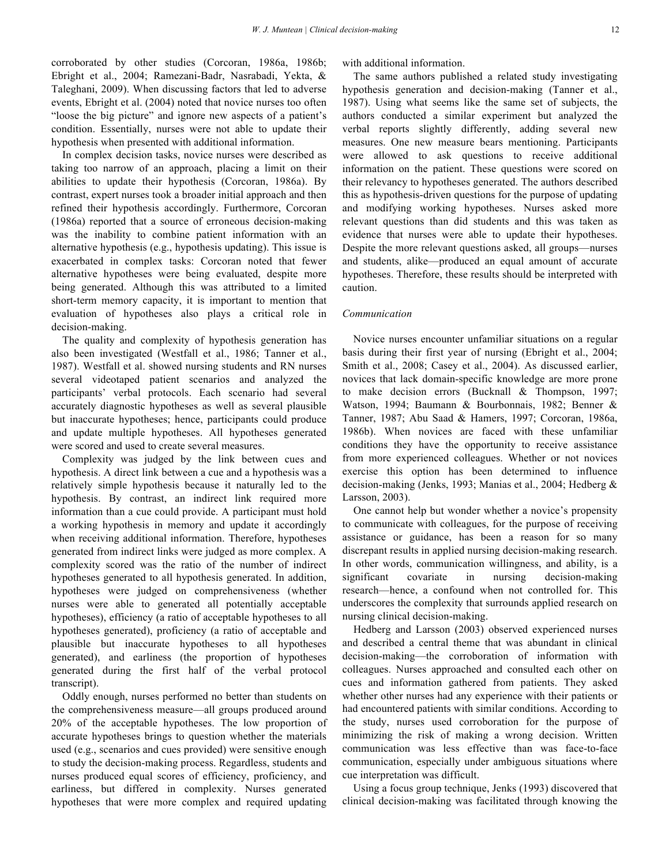corroborated by other studies (Corcoran, 1986a, 1986b; Ebright et al., 2004; Ramezani-Badr, Nasrabadi, Yekta, & Taleghani, 2009). When discussing factors that led to adverse events, Ebright et al. (2004) noted that novice nurses too often "loose the big picture" and ignore new aspects of a patient's condition. Essentially, nurses were not able to update their hypothesis when presented with additional information.

In complex decision tasks, novice nurses were described as taking too narrow of an approach, placing a limit on their abilities to update their hypothesis (Corcoran, 1986a). By contrast, expert nurses took a broader initial approach and then refined their hypothesis accordingly. Furthermore, Corcoran (1986a) reported that a source of erroneous decision-making was the inability to combine patient information with an alternative hypothesis (e.g., hypothesis updating). This issue is exacerbated in complex tasks: Corcoran noted that fewer alternative hypotheses were being evaluated, despite more being generated. Although this was attributed to a limited short-term memory capacity, it is important to mention that evaluation of hypotheses also plays a critical role in decision-making.

The quality and complexity of hypothesis generation has also been investigated (Westfall et al., 1986; Tanner et al., 1987). Westfall et al. showed nursing students and RN nurses several videotaped patient scenarios and analyzed the participants' verbal protocols. Each scenario had several accurately diagnostic hypotheses as well as several plausible but inaccurate hypotheses; hence, participants could produce and update multiple hypotheses. All hypotheses generated were scored and used to create several measures.

Complexity was judged by the link between cues and hypothesis. A direct link between a cue and a hypothesis was a relatively simple hypothesis because it naturally led to the hypothesis. By contrast, an indirect link required more information than a cue could provide. A participant must hold a working hypothesis in memory and update it accordingly when receiving additional information. Therefore, hypotheses generated from indirect links were judged as more complex. A complexity scored was the ratio of the number of indirect hypotheses generated to all hypothesis generated. In addition, hypotheses were judged on comprehensiveness (whether nurses were able to generated all potentially acceptable hypotheses), efficiency (a ratio of acceptable hypotheses to all hypotheses generated), proficiency (a ratio of acceptable and plausible but inaccurate hypotheses to all hypotheses generated), and earliness (the proportion of hypotheses generated during the first half of the verbal protocol transcript).

Oddly enough, nurses performed no better than students on the comprehensiveness measure—all groups produced around 20% of the acceptable hypotheses. The low proportion of accurate hypotheses brings to question whether the materials used (e.g., scenarios and cues provided) were sensitive enough to study the decision-making process. Regardless, students and nurses produced equal scores of efficiency, proficiency, and earliness, but differed in complexity. Nurses generated hypotheses that were more complex and required updating with additional information.

The same authors published a related study investigating hypothesis generation and decision-making (Tanner et al., 1987). Using what seems like the same set of subjects, the authors conducted a similar experiment but analyzed the verbal reports slightly differently, adding several new measures. One new measure bears mentioning. Participants were allowed to ask questions to receive additional information on the patient. These questions were scored on their relevancy to hypotheses generated. The authors described this as hypothesis-driven questions for the purpose of updating and modifying working hypotheses. Nurses asked more relevant questions than did students and this was taken as evidence that nurses were able to update their hypotheses. Despite the more relevant questions asked, all groups—nurses and students, alike—produced an equal amount of accurate hypotheses. Therefore, these results should be interpreted with caution.

#### *Communication*

Novice nurses encounter unfamiliar situations on a regular basis during their first year of nursing (Ebright et al., 2004; Smith et al., 2008; Casey et al., 2004). As discussed earlier, novices that lack domain-specific knowledge are more prone to make decision errors (Bucknall & Thompson, 1997; Watson, 1994; Baumann & Bourbonnais, 1982; Benner & Tanner, 1987; Abu Saad & Hamers, 1997; Corcoran, 1986a, 1986b). When novices are faced with these unfamiliar conditions they have the opportunity to receive assistance from more experienced colleagues. Whether or not novices exercise this option has been determined to influence decision-making (Jenks, 1993; Manias et al., 2004; Hedberg & Larsson, 2003).

One cannot help but wonder whether a novice's propensity to communicate with colleagues, for the purpose of receiving assistance or guidance, has been a reason for so many discrepant results in applied nursing decision-making research. In other words, communication willingness, and ability, is a significant covariate in nursing decision-making research—hence, a confound when not controlled for. This underscores the complexity that surrounds applied research on nursing clinical decision-making.

Hedberg and Larsson (2003) observed experienced nurses and described a central theme that was abundant in clinical decision-making—the corroboration of information with colleagues. Nurses approached and consulted each other on cues and information gathered from patients. They asked whether other nurses had any experience with their patients or had encountered patients with similar conditions. According to the study, nurses used corroboration for the purpose of minimizing the risk of making a wrong decision. Written communication was less effective than was face-to-face communication, especially under ambiguous situations where cue interpretation was difficult.

Using a focus group technique, Jenks (1993) discovered that clinical decision-making was facilitated through knowing the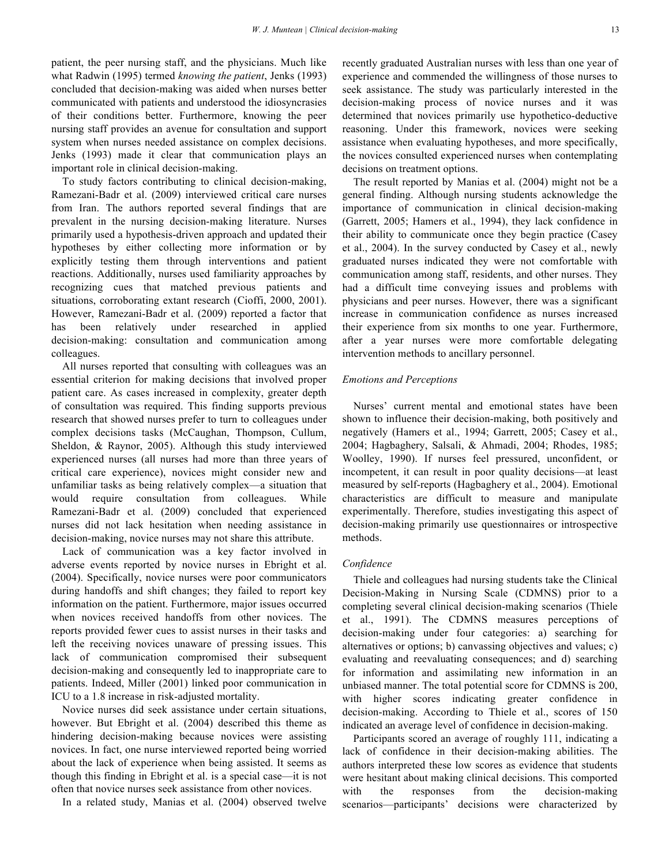patient, the peer nursing staff, and the physicians. Much like what Radwin (1995) termed *knowing the patient*, Jenks (1993) concluded that decision-making was aided when nurses better communicated with patients and understood the idiosyncrasies of their conditions better. Furthermore, knowing the peer nursing staff provides an avenue for consultation and support system when nurses needed assistance on complex decisions. Jenks (1993) made it clear that communication plays an important role in clinical decision-making.

To study factors contributing to clinical decision-making, Ramezani-Badr et al. (2009) interviewed critical care nurses from Iran. The authors reported several findings that are prevalent in the nursing decision-making literature. Nurses primarily used a hypothesis-driven approach and updated their hypotheses by either collecting more information or by explicitly testing them through interventions and patient reactions. Additionally, nurses used familiarity approaches by recognizing cues that matched previous patients and situations, corroborating extant research (Cioffi, 2000, 2001). However, Ramezani-Badr et al. (2009) reported a factor that has been relatively under researched in applied decision-making: consultation and communication among colleagues.

All nurses reported that consulting with colleagues was an essential criterion for making decisions that involved proper patient care. As cases increased in complexity, greater depth of consultation was required. This finding supports previous research that showed nurses prefer to turn to colleagues under complex decisions tasks (McCaughan, Thompson, Cullum, Sheldon, & Raynor, 2005). Although this study interviewed experienced nurses (all nurses had more than three years of critical care experience), novices might consider new and unfamiliar tasks as being relatively complex—a situation that would require consultation from colleagues. While Ramezani-Badr et al. (2009) concluded that experienced nurses did not lack hesitation when needing assistance in decision-making, novice nurses may not share this attribute.

Lack of communication was a key factor involved in adverse events reported by novice nurses in Ebright et al. (2004). Specifically, novice nurses were poor communicators during handoffs and shift changes; they failed to report key information on the patient. Furthermore, major issues occurred when novices received handoffs from other novices. The reports provided fewer cues to assist nurses in their tasks and left the receiving novices unaware of pressing issues. This lack of communication compromised their subsequent decision-making and consequently led to inappropriate care to patients. Indeed, Miller (2001) linked poor communication in ICU to a 1.8 increase in risk-adjusted mortality.

Novice nurses did seek assistance under certain situations, however. But Ebright et al. (2004) described this theme as hindering decision-making because novices were assisting novices. In fact, one nurse interviewed reported being worried about the lack of experience when being assisted. It seems as though this finding in Ebright et al. is a special case—it is not often that novice nurses seek assistance from other novices.

In a related study, Manias et al. (2004) observed twelve

recently graduated Australian nurses with less than one year of experience and commended the willingness of those nurses to seek assistance. The study was particularly interested in the decision-making process of novice nurses and it was determined that novices primarily use hypothetico-deductive reasoning. Under this framework, novices were seeking assistance when evaluating hypotheses, and more specifically, the novices consulted experienced nurses when contemplating decisions on treatment options.

The result reported by Manias et al. (2004) might not be a general finding. Although nursing students acknowledge the importance of communication in clinical decision-making (Garrett, 2005; Hamers et al., 1994), they lack confidence in their ability to communicate once they begin practice (Casey et al., 2004). In the survey conducted by Casey et al., newly graduated nurses indicated they were not comfortable with communication among staff, residents, and other nurses. They had a difficult time conveying issues and problems with physicians and peer nurses. However, there was a significant increase in communication confidence as nurses increased their experience from six months to one year. Furthermore, after a year nurses were more comfortable delegating intervention methods to ancillary personnel.

#### *Emotions and Perceptions*

Nurses' current mental and emotional states have been shown to influence their decision-making, both positively and negatively (Hamers et al., 1994; Garrett, 2005; Casey et al., 2004; Hagbaghery, Salsali, & Ahmadi, 2004; Rhodes, 1985; Woolley, 1990). If nurses feel pressured, unconfident, or incompetent, it can result in poor quality decisions—at least measured by self-reports (Hagbaghery et al., 2004). Emotional characteristics are difficult to measure and manipulate experimentally. Therefore, studies investigating this aspect of decision-making primarily use questionnaires or introspective methods.

#### *Confidence*

Thiele and colleagues had nursing students take the Clinical Decision-Making in Nursing Scale (CDMNS) prior to a completing several clinical decision-making scenarios (Thiele et al., 1991). The CDMNS measures perceptions of decision-making under four categories: a) searching for alternatives or options; b) canvassing objectives and values; c) evaluating and reevaluating consequences; and d) searching for information and assimilating new information in an unbiased manner. The total potential score for CDMNS is 200, with higher scores indicating greater confidence in decision-making. According to Thiele et al., scores of 150 indicated an average level of confidence in decision-making.

Participants scored an average of roughly 111, indicating a lack of confidence in their decision-making abilities. The authors interpreted these low scores as evidence that students were hesitant about making clinical decisions. This comported with the responses from the decision-making scenarios—participants' decisions were characterized by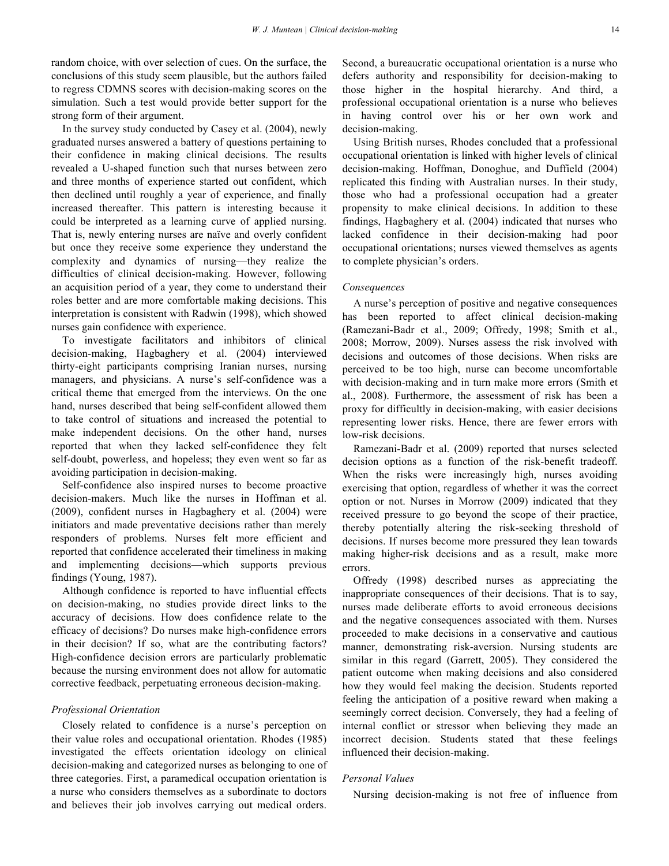random choice, with over selection of cues. On the surface, the conclusions of this study seem plausible, but the authors failed to regress CDMNS scores with decision-making scores on the simulation. Such a test would provide better support for the strong form of their argument.

In the survey study conducted by Casey et al. (2004), newly graduated nurses answered a battery of questions pertaining to their confidence in making clinical decisions. The results revealed a U-shaped function such that nurses between zero and three months of experience started out confident, which then declined until roughly a year of experience, and finally increased thereafter. This pattern is interesting because it could be interpreted as a learning curve of applied nursing. That is, newly entering nurses are naïve and overly confident but once they receive some experience they understand the complexity and dynamics of nursing—they realize the difficulties of clinical decision-making. However, following an acquisition period of a year, they come to understand their roles better and are more comfortable making decisions. This interpretation is consistent with Radwin (1998), which showed nurses gain confidence with experience.

To investigate facilitators and inhibitors of clinical decision-making, Hagbaghery et al. (2004) interviewed thirty-eight participants comprising Iranian nurses, nursing managers, and physicians. A nurse's self-confidence was a critical theme that emerged from the interviews. On the one hand, nurses described that being self-confident allowed them to take control of situations and increased the potential to make independent decisions. On the other hand, nurses reported that when they lacked self-confidence they felt self-doubt, powerless, and hopeless; they even went so far as avoiding participation in decision-making.

Self-confidence also inspired nurses to become proactive decision-makers. Much like the nurses in Hoffman et al. (2009), confident nurses in Hagbaghery et al. (2004) were initiators and made preventative decisions rather than merely responders of problems. Nurses felt more efficient and reported that confidence accelerated their timeliness in making and implementing decisions—which supports previous findings (Young, 1987).

Although confidence is reported to have influential effects on decision-making, no studies provide direct links to the accuracy of decisions. How does confidence relate to the efficacy of decisions? Do nurses make high-confidence errors in their decision? If so, what are the contributing factors? High-confidence decision errors are particularly problematic because the nursing environment does not allow for automatic corrective feedback, perpetuating erroneous decision-making.

# *Professional Orientation*

Closely related to confidence is a nurse's perception on their value roles and occupational orientation. Rhodes (1985) investigated the effects orientation ideology on clinical decision-making and categorized nurses as belonging to one of three categories. First, a paramedical occupation orientation is a nurse who considers themselves as a subordinate to doctors and believes their job involves carrying out medical orders.

Second, a bureaucratic occupational orientation is a nurse who defers authority and responsibility for decision-making to those higher in the hospital hierarchy. And third, a professional occupational orientation is a nurse who believes in having control over his or her own work and decision-making.

Using British nurses, Rhodes concluded that a professional occupational orientation is linked with higher levels of clinical decision-making. Hoffman, Donoghue, and Duffield (2004) replicated this finding with Australian nurses. In their study, those who had a professional occupation had a greater propensity to make clinical decisions. In addition to these findings, Hagbaghery et al. (2004) indicated that nurses who lacked confidence in their decision-making had poor occupational orientations; nurses viewed themselves as agents to complete physician's orders.

# *Consequences*

A nurse's perception of positive and negative consequences has been reported to affect clinical decision-making (Ramezani-Badr et al., 2009; Offredy, 1998; Smith et al., 2008; Morrow, 2009). Nurses assess the risk involved with decisions and outcomes of those decisions. When risks are perceived to be too high, nurse can become uncomfortable with decision-making and in turn make more errors (Smith et al., 2008). Furthermore, the assessment of risk has been a proxy for difficultly in decision-making, with easier decisions representing lower risks. Hence, there are fewer errors with low-risk decisions.

Ramezani-Badr et al. (2009) reported that nurses selected decision options as a function of the risk-benefit tradeoff. When the risks were increasingly high, nurses avoiding exercising that option, regardless of whether it was the correct option or not. Nurses in Morrow (2009) indicated that they received pressure to go beyond the scope of their practice, thereby potentially altering the risk-seeking threshold of decisions. If nurses become more pressured they lean towards making higher-risk decisions and as a result, make more errors.

Offredy (1998) described nurses as appreciating the inappropriate consequences of their decisions. That is to say, nurses made deliberate efforts to avoid erroneous decisions and the negative consequences associated with them. Nurses proceeded to make decisions in a conservative and cautious manner, demonstrating risk-aversion. Nursing students are similar in this regard (Garrett, 2005). They considered the patient outcome when making decisions and also considered how they would feel making the decision. Students reported feeling the anticipation of a positive reward when making a seemingly correct decision. Conversely, they had a feeling of internal conflict or stressor when believing they made an incorrect decision. Students stated that these feelings influenced their decision-making.

#### *Personal Values*

Nursing decision-making is not free of influence from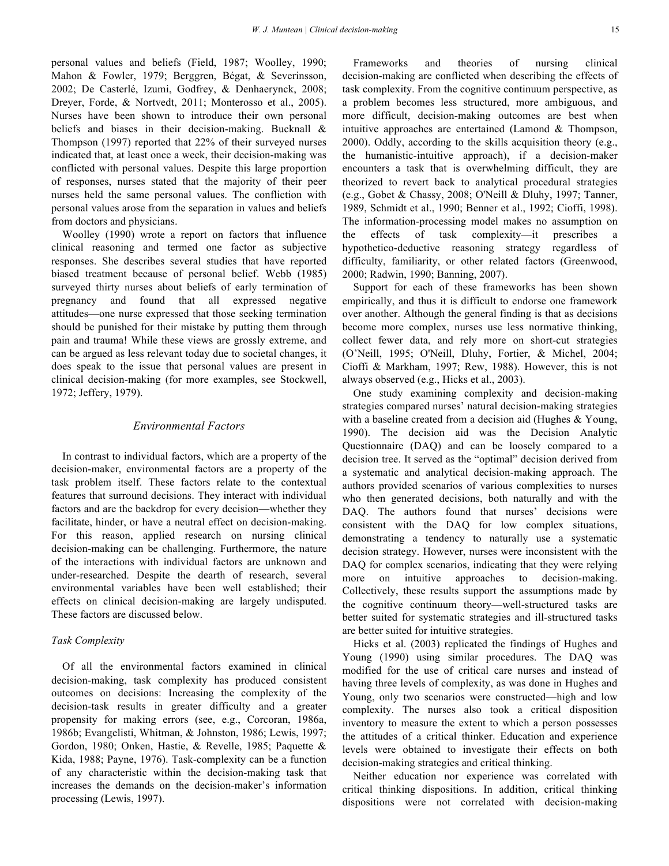personal values and beliefs (Field, 1987; Woolley, 1990; Mahon & Fowler, 1979; Berggren, Bégat, & Severinsson, 2002; De Casterlé, Izumi, Godfrey, & Denhaerynck, 2008; Dreyer, Forde, & Nortvedt, 2011; Monterosso et al., 2005). Nurses have been shown to introduce their own personal beliefs and biases in their decision-making. Bucknall & Thompson (1997) reported that 22% of their surveyed nurses indicated that, at least once a week, their decision-making was conflicted with personal values. Despite this large proportion of responses, nurses stated that the majority of their peer nurses held the same personal values. The confliction with personal values arose from the separation in values and beliefs from doctors and physicians.

Woolley (1990) wrote a report on factors that influence clinical reasoning and termed one factor as subjective responses. She describes several studies that have reported biased treatment because of personal belief. Webb (1985) surveyed thirty nurses about beliefs of early termination of pregnancy and found that all expressed negative attitudes—one nurse expressed that those seeking termination should be punished for their mistake by putting them through pain and trauma! While these views are grossly extreme, and can be argued as less relevant today due to societal changes, it does speak to the issue that personal values are present in clinical decision-making (for more examples, see Stockwell, 1972; Jeffery, 1979).

# *Environmental Factors*

In contrast to individual factors, which are a property of the decision-maker, environmental factors are a property of the task problem itself. These factors relate to the contextual features that surround decisions. They interact with individual factors and are the backdrop for every decision—whether they facilitate, hinder, or have a neutral effect on decision-making. For this reason, applied research on nursing clinical decision-making can be challenging. Furthermore, the nature of the interactions with individual factors are unknown and under-researched. Despite the dearth of research, several environmental variables have been well established; their effects on clinical decision-making are largely undisputed. These factors are discussed below.

# *Task Complexity*

Of all the environmental factors examined in clinical decision-making, task complexity has produced consistent outcomes on decisions: Increasing the complexity of the decision-task results in greater difficulty and a greater propensity for making errors (see, e.g., Corcoran, 1986a, 1986b; Evangelisti, Whitman, & Johnston, 1986; Lewis, 1997; Gordon, 1980; Onken, Hastie, & Revelle, 1985; Paquette & Kida, 1988; Payne, 1976). Task-complexity can be a function of any characteristic within the decision-making task that increases the demands on the decision-maker's information processing (Lewis, 1997).

Frameworks and theories of nursing clinical decision-making are conflicted when describing the effects of task complexity. From the cognitive continuum perspective, as a problem becomes less structured, more ambiguous, and more difficult, decision-making outcomes are best when intuitive approaches are entertained (Lamond & Thompson, 2000). Oddly, according to the skills acquisition theory (e.g., the humanistic-intuitive approach), if a decision-maker encounters a task that is overwhelming difficult, they are theorized to revert back to analytical procedural strategies (e.g., Gobet & Chassy, 2008; O'Neill & Dluhy, 1997; Tanner, 1989, Schmidt et al., 1990; Benner et al., 1992; Cioffi, 1998). The information-processing model makes no assumption on the effects of task complexity—it prescribes a hypothetico-deductive reasoning strategy regardless of difficulty, familiarity, or other related factors (Greenwood, 2000; Radwin, 1990; Banning, 2007).

Support for each of these frameworks has been shown empirically, and thus it is difficult to endorse one framework over another. Although the general finding is that as decisions become more complex, nurses use less normative thinking, collect fewer data, and rely more on short-cut strategies (O'Neill, 1995; O'Neill, Dluhy, Fortier, & Michel, 2004; Cioffi & Markham, 1997; Rew, 1988). However, this is not always observed (e.g., Hicks et al., 2003).

One study examining complexity and decision-making strategies compared nurses' natural decision-making strategies with a baseline created from a decision aid (Hughes & Young, 1990). The decision aid was the Decision Analytic Questionnaire (DAQ) and can be loosely compared to a decision tree. It served as the "optimal" decision derived from a systematic and analytical decision-making approach. The authors provided scenarios of various complexities to nurses who then generated decisions, both naturally and with the DAQ. The authors found that nurses' decisions were consistent with the DAQ for low complex situations, demonstrating a tendency to naturally use a systematic decision strategy. However, nurses were inconsistent with the DAQ for complex scenarios, indicating that they were relying more on intuitive approaches to decision-making. Collectively, these results support the assumptions made by the cognitive continuum theory—well-structured tasks are better suited for systematic strategies and ill-structured tasks are better suited for intuitive strategies.

Hicks et al. (2003) replicated the findings of Hughes and Young (1990) using similar procedures. The DAQ was modified for the use of critical care nurses and instead of having three levels of complexity, as was done in Hughes and Young, only two scenarios were constructed—high and low complexity. The nurses also took a critical disposition inventory to measure the extent to which a person possesses the attitudes of a critical thinker. Education and experience levels were obtained to investigate their effects on both decision-making strategies and critical thinking.

Neither education nor experience was correlated with critical thinking dispositions. In addition, critical thinking dispositions were not correlated with decision-making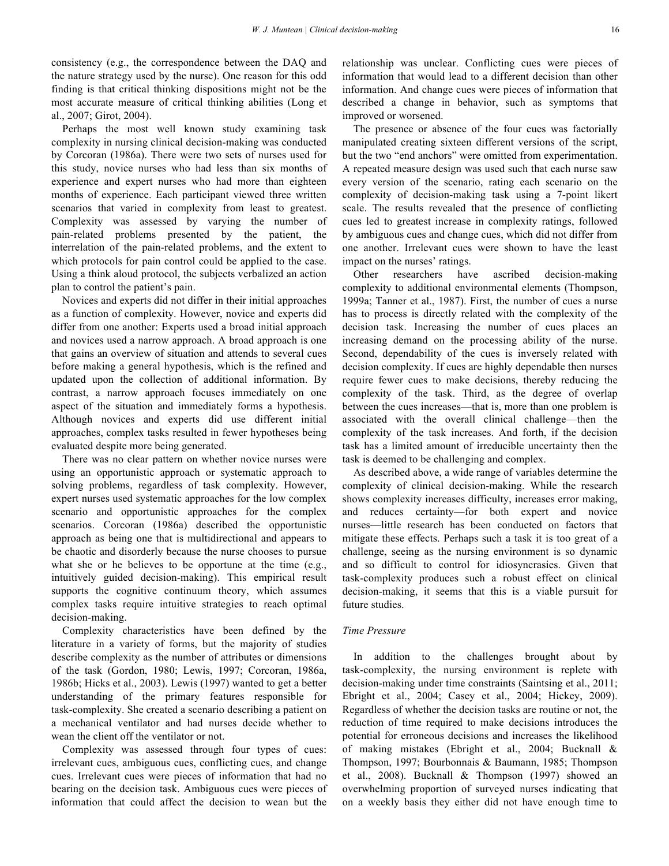consistency (e.g., the correspondence between the DAQ and the nature strategy used by the nurse). One reason for this odd finding is that critical thinking dispositions might not be the most accurate measure of critical thinking abilities (Long et al., 2007; Girot, 2004).

Perhaps the most well known study examining task complexity in nursing clinical decision-making was conducted by Corcoran (1986a). There were two sets of nurses used for this study, novice nurses who had less than six months of experience and expert nurses who had more than eighteen months of experience. Each participant viewed three written scenarios that varied in complexity from least to greatest. Complexity was assessed by varying the number of pain-related problems presented by the patient, the interrelation of the pain-related problems, and the extent to which protocols for pain control could be applied to the case. Using a think aloud protocol, the subjects verbalized an action plan to control the patient's pain.

Novices and experts did not differ in their initial approaches as a function of complexity. However, novice and experts did differ from one another: Experts used a broad initial approach and novices used a narrow approach. A broad approach is one that gains an overview of situation and attends to several cues before making a general hypothesis, which is the refined and updated upon the collection of additional information. By contrast, a narrow approach focuses immediately on one aspect of the situation and immediately forms a hypothesis. Although novices and experts did use different initial approaches, complex tasks resulted in fewer hypotheses being evaluated despite more being generated.

There was no clear pattern on whether novice nurses were using an opportunistic approach or systematic approach to solving problems, regardless of task complexity. However, expert nurses used systematic approaches for the low complex scenario and opportunistic approaches for the complex scenarios. Corcoran (1986a) described the opportunistic approach as being one that is multidirectional and appears to be chaotic and disorderly because the nurse chooses to pursue what she or he believes to be opportune at the time (e.g., intuitively guided decision-making). This empirical result supports the cognitive continuum theory, which assumes complex tasks require intuitive strategies to reach optimal decision-making.

Complexity characteristics have been defined by the literature in a variety of forms, but the majority of studies describe complexity as the number of attributes or dimensions of the task (Gordon, 1980; Lewis, 1997; Corcoran, 1986a, 1986b; Hicks et al., 2003). Lewis (1997) wanted to get a better understanding of the primary features responsible for task-complexity. She created a scenario describing a patient on a mechanical ventilator and had nurses decide whether to wean the client off the ventilator or not.

Complexity was assessed through four types of cues: irrelevant cues, ambiguous cues, conflicting cues, and change cues. Irrelevant cues were pieces of information that had no bearing on the decision task. Ambiguous cues were pieces of information that could affect the decision to wean but the relationship was unclear. Conflicting cues were pieces of information that would lead to a different decision than other information. And change cues were pieces of information that described a change in behavior, such as symptoms that improved or worsened.

The presence or absence of the four cues was factorially manipulated creating sixteen different versions of the script, but the two "end anchors" were omitted from experimentation. A repeated measure design was used such that each nurse saw every version of the scenario, rating each scenario on the complexity of decision-making task using a 7-point likert scale. The results revealed that the presence of conflicting cues led to greatest increase in complexity ratings, followed by ambiguous cues and change cues, which did not differ from one another. Irrelevant cues were shown to have the least impact on the nurses' ratings.

Other researchers have ascribed decision-making complexity to additional environmental elements (Thompson, 1999a; Tanner et al., 1987). First, the number of cues a nurse has to process is directly related with the complexity of the decision task. Increasing the number of cues places an increasing demand on the processing ability of the nurse. Second, dependability of the cues is inversely related with decision complexity. If cues are highly dependable then nurses require fewer cues to make decisions, thereby reducing the complexity of the task. Third, as the degree of overlap between the cues increases—that is, more than one problem is associated with the overall clinical challenge—then the complexity of the task increases. And forth, if the decision task has a limited amount of irreducible uncertainty then the task is deemed to be challenging and complex.

As described above, a wide range of variables determine the complexity of clinical decision-making. While the research shows complexity increases difficulty, increases error making, and reduces certainty—for both expert and novice nurses—little research has been conducted on factors that mitigate these effects. Perhaps such a task it is too great of a challenge, seeing as the nursing environment is so dynamic and so difficult to control for idiosyncrasies. Given that task-complexity produces such a robust effect on clinical decision-making, it seems that this is a viable pursuit for future studies.

## *Time Pressure*

In addition to the challenges brought about by task-complexity, the nursing environment is replete with decision-making under time constraints (Saintsing et al., 2011; Ebright et al., 2004; Casey et al., 2004; Hickey, 2009). Regardless of whether the decision tasks are routine or not, the reduction of time required to make decisions introduces the potential for erroneous decisions and increases the likelihood of making mistakes (Ebright et al., 2004; Bucknall & Thompson, 1997; Bourbonnais & Baumann, 1985; Thompson et al., 2008). Bucknall & Thompson (1997) showed an overwhelming proportion of surveyed nurses indicating that on a weekly basis they either did not have enough time to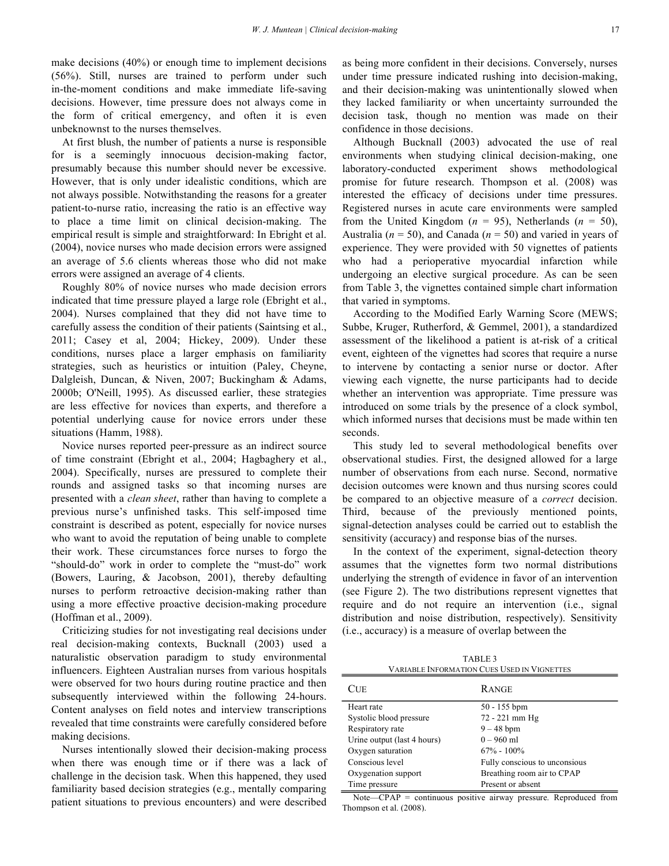make decisions (40%) or enough time to implement decisions (56%). Still, nurses are trained to perform under such in-the-moment conditions and make immediate life-saving decisions. However, time pressure does not always come in the form of critical emergency, and often it is even unbeknownst to the nurses themselves.

At first blush, the number of patients a nurse is responsible for is a seemingly innocuous decision-making factor, presumably because this number should never be excessive. However, that is only under idealistic conditions, which are not always possible. Notwithstanding the reasons for a greater patient-to-nurse ratio, increasing the ratio is an effective way to place a time limit on clinical decision-making. The empirical result is simple and straightforward: In Ebright et al. (2004), novice nurses who made decision errors were assigned an average of 5.6 clients whereas those who did not make errors were assigned an average of 4 clients.

Roughly 80% of novice nurses who made decision errors indicated that time pressure played a large role (Ebright et al., 2004). Nurses complained that they did not have time to carefully assess the condition of their patients (Saintsing et al., 2011; Casey et al, 2004; Hickey, 2009). Under these conditions, nurses place a larger emphasis on familiarity strategies, such as heuristics or intuition (Paley, Cheyne, Dalgleish, Duncan, & Niven, 2007; Buckingham & Adams, 2000b; O'Neill, 1995). As discussed earlier, these strategies are less effective for novices than experts, and therefore a potential underlying cause for novice errors under these situations (Hamm, 1988).

Novice nurses reported peer-pressure as an indirect source of time constraint (Ebright et al., 2004; Hagbaghery et al., 2004). Specifically, nurses are pressured to complete their rounds and assigned tasks so that incoming nurses are presented with a *clean sheet*, rather than having to complete a previous nurse's unfinished tasks. This self-imposed time constraint is described as potent, especially for novice nurses who want to avoid the reputation of being unable to complete their work. These circumstances force nurses to forgo the "should-do" work in order to complete the "must-do" work (Bowers, Lauring, & Jacobson, 2001), thereby defaulting nurses to perform retroactive decision-making rather than using a more effective proactive decision-making procedure (Hoffman et al., 2009).

Criticizing studies for not investigating real decisions under real decision-making contexts, Bucknall (2003) used a naturalistic observation paradigm to study environmental influencers. Eighteen Australian nurses from various hospitals were observed for two hours during routine practice and then subsequently interviewed within the following 24-hours. Content analyses on field notes and interview transcriptions revealed that time constraints were carefully considered before making decisions.

Nurses intentionally slowed their decision-making process when there was enough time or if there was a lack of challenge in the decision task. When this happened, they used familiarity based decision strategies (e.g., mentally comparing patient situations to previous encounters) and were described as being more confident in their decisions. Conversely, nurses under time pressure indicated rushing into decision-making, and their decision-making was unintentionally slowed when they lacked familiarity or when uncertainty surrounded the decision task, though no mention was made on their confidence in those decisions.

Although Bucknall (2003) advocated the use of real environments when studying clinical decision-making, one laboratory-conducted experiment shows methodological promise for future research. Thompson et al. (2008) was interested the efficacy of decisions under time pressures. Registered nurses in acute care environments were sampled from the United Kingdom  $(n = 95)$ , Netherlands  $(n = 50)$ , Australia ( $n = 50$ ), and Canada ( $n = 50$ ) and varied in years of experience. They were provided with 50 vignettes of patients who had a perioperative myocardial infarction while undergoing an elective surgical procedure. As can be seen from Table 3, the vignettes contained simple chart information that varied in symptoms.

According to the Modified Early Warning Score (MEWS; Subbe, Kruger, Rutherford, & Gemmel, 2001), a standardized assessment of the likelihood a patient is at-risk of a critical event, eighteen of the vignettes had scores that require a nurse to intervene by contacting a senior nurse or doctor. After viewing each vignette, the nurse participants had to decide whether an intervention was appropriate. Time pressure was introduced on some trials by the presence of a clock symbol, which informed nurses that decisions must be made within ten seconds.

This study led to several methodological benefits over observational studies. First, the designed allowed for a large number of observations from each nurse. Second, normative decision outcomes were known and thus nursing scores could be compared to an objective measure of a *correct* decision. Third, because of the previously mentioned points, signal-detection analyses could be carried out to establish the sensitivity (accuracy) and response bias of the nurses.

In the context of the experiment, signal-detection theory assumes that the vignettes form two normal distributions underlying the strength of evidence in favor of an intervention (see Figure 2). The two distributions represent vignettes that require and do not require an intervention (i.e., signal distribution and noise distribution, respectively). Sensitivity (i.e., accuracy) is a measure of overlap between the

| TABLE 3<br><b>VARIABLE INFORMATION CUES USED IN VIGNETTES</b> |                |  |
|---------------------------------------------------------------|----------------|--|
| Cue                                                           | <b>RANGE</b>   |  |
| Heart rate                                                    | $50 - 155$ bpm |  |
| Systolic blood pressure                                       | 72 - 221 mm Hg |  |
| $D$ conjustant note                                           | 0.40 km        |  |

| Respiratory rate            | $9-48$ bpm                    |
|-----------------------------|-------------------------------|
| Urine output (last 4 hours) | $0 - 960$ ml                  |
| Oxygen saturation           | $67\% - 100\%$                |
| Conscious level             | Fully conscious to unconsious |
| Oxygenation support         | Breathing room air to CPAP    |
| Time pressure               | Present or absent             |
| _____                       |                               |

Note—CPAP = continuous positive airway pressure. Reproduced from Thompson et al. (2008).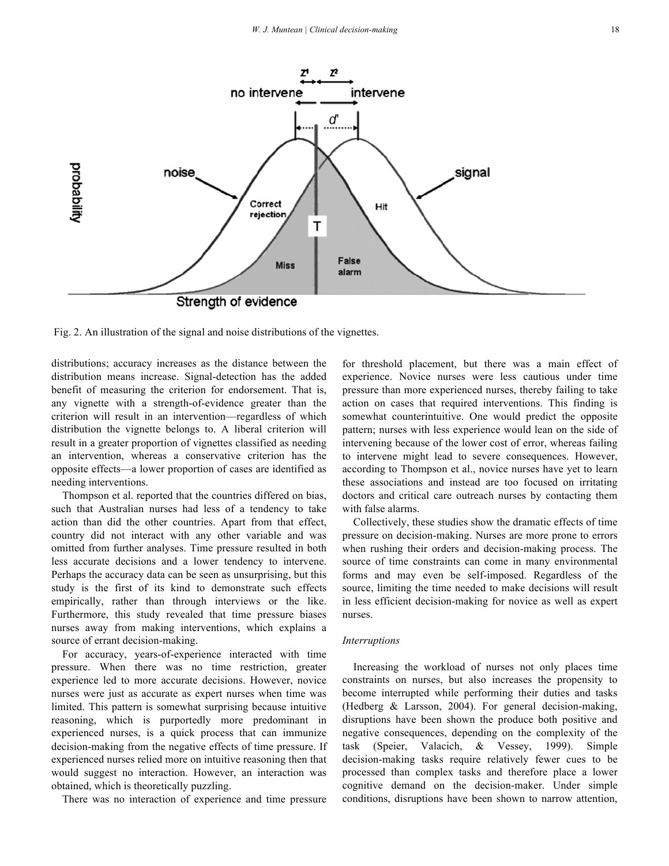

Fig. 2. An illustration of the signal and noise distributions of the vignettes.

distributions; accuracy increases as the distance between the distribution means increase. Signal-detection has the added benefit of measuring the criterion for endorsement. That is, any vignette with a strength-of-evidence greater than the criterion will result in an intervention—regardless of which distribution the vignette belongs to. A liberal criterion will result in a greater proportion of vignettes classified as needing an intervention, whereas a conservative criterion has the opposite effects—a lower proportion of cases are identified as needing interventions.

Thompson et al. reported that the countries differed on bias, such that Australian nurses had less of a tendency to take action than did the other countries. Apart from that effect, country did not interact with any other variable and was omitted from further analyses. Time pressure resulted in both less accurate decisions and a lower tendency to intervene. Perhaps the accuracy data can be seen as unsurprising, but this study is the first of its kind to demonstrate such effects empirically, rather than through interviews or the like. Furthermore, this study revealed that time pressure biases nurses away from making interventions, which explains a source of errant decision-making.

For accuracy, years-of-experience interacted with time pressure. When there was no time restriction, greater experience led to more accurate decisions. However, novice nurses were just as accurate as expert nurses when time was limited. This pattern is somewhat surprising because intuitive reasoning, which is purportedly more predominant in experienced nurses, is a quick process that can immunize decision-making from the negative effects of time pressure. If experienced nurses relied more on intuitive reasoning then that would suggest no interaction. However, an interaction was obtained, which is theoretically puzzling.

There was no interaction of experience and time pressure

for threshold placement, but there was a main effect of experience. Novice nurses were less cautious under time pressure than more experienced nurses, thereby failing to take action on cases that required interventions. This finding is somewhat counterintuitive. One would predict the opposite pattern; nurses with less experience would lean on the side of intervening because of the lower cost of error, whereas failing to intervene might lead to severe consequences. However, according to Thompson et al., novice nurses have yet to learn these associations and instead are too focused on irritating doctors and critical care outreach nurses by contacting them with false alarms.

Collectively, these studies show the dramatic effects of time pressure on decision-making. Nurses are more prone to errors when rushing their orders and decision-making process. The source of time constraints can come in many environmental forms and may even be self-imposed. Regardless of the source, limiting the time needed to make decisions will result in less efficient decision-making for novice as well as expert nurses.

#### *Interruptions*

Increasing the workload of nurses not only places time constraints on nurses, but also increases the propensity to become interrupted while performing their duties and tasks (Hedberg & Larsson, 2004). For general decision-making, disruptions have been shown the produce both positive and negative consequences, depending on the complexity of the task (Speier, Valacich, & Vessey, 1999). Simple decision-making tasks require relatively fewer cues to be processed than complex tasks and therefore place a lower cognitive demand on the decision-maker. Under simple conditions, disruptions have been shown to narrow attention,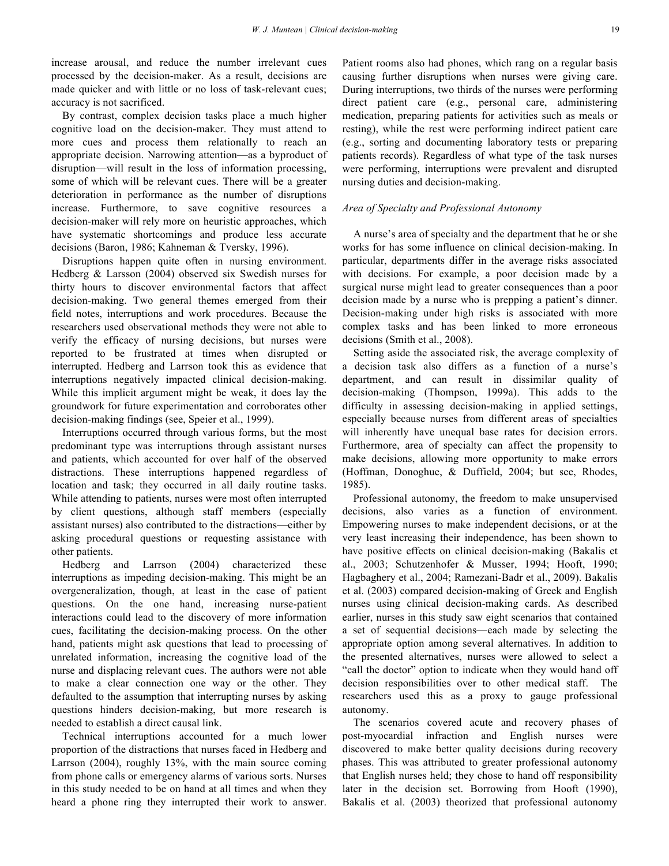increase arousal, and reduce the number irrelevant cues processed by the decision-maker. As a result, decisions are made quicker and with little or no loss of task-relevant cues; accuracy is not sacrificed.

By contrast, complex decision tasks place a much higher cognitive load on the decision-maker. They must attend to more cues and process them relationally to reach an appropriate decision. Narrowing attention—as a byproduct of disruption—will result in the loss of information processing, some of which will be relevant cues. There will be a greater deterioration in performance as the number of disruptions increase. Furthermore, to save cognitive resources a decision-maker will rely more on heuristic approaches, which have systematic shortcomings and produce less accurate decisions (Baron, 1986; Kahneman & Tversky, 1996).

Disruptions happen quite often in nursing environment. Hedberg & Larsson (2004) observed six Swedish nurses for thirty hours to discover environmental factors that affect decision-making. Two general themes emerged from their field notes, interruptions and work procedures. Because the researchers used observational methods they were not able to verify the efficacy of nursing decisions, but nurses were reported to be frustrated at times when disrupted or interrupted. Hedberg and Larrson took this as evidence that interruptions negatively impacted clinical decision-making. While this implicit argument might be weak, it does lay the groundwork for future experimentation and corroborates other decision-making findings (see, Speier et al., 1999).

Interruptions occurred through various forms, but the most predominant type was interruptions through assistant nurses and patients, which accounted for over half of the observed distractions. These interruptions happened regardless of location and task; they occurred in all daily routine tasks. While attending to patients, nurses were most often interrupted by client questions, although staff members (especially assistant nurses) also contributed to the distractions—either by asking procedural questions or requesting assistance with other patients.

Hedberg and Larrson (2004) characterized these interruptions as impeding decision-making. This might be an overgeneralization, though, at least in the case of patient questions. On the one hand, increasing nurse-patient interactions could lead to the discovery of more information cues, facilitating the decision-making process. On the other hand, patients might ask questions that lead to processing of unrelated information, increasing the cognitive load of the nurse and displacing relevant cues. The authors were not able to make a clear connection one way or the other. They defaulted to the assumption that interrupting nurses by asking questions hinders decision-making, but more research is needed to establish a direct causal link.

Technical interruptions accounted for a much lower proportion of the distractions that nurses faced in Hedberg and Larrson (2004), roughly 13%, with the main source coming from phone calls or emergency alarms of various sorts. Nurses in this study needed to be on hand at all times and when they heard a phone ring they interrupted their work to answer.

Patient rooms also had phones, which rang on a regular basis causing further disruptions when nurses were giving care. During interruptions, two thirds of the nurses were performing direct patient care (e.g., personal care, administering medication, preparing patients for activities such as meals or resting), while the rest were performing indirect patient care (e.g., sorting and documenting laboratory tests or preparing patients records). Regardless of what type of the task nurses were performing, interruptions were prevalent and disrupted nursing duties and decision-making.

## *Area of Specialty and Professional Autonomy*

A nurse's area of specialty and the department that he or she works for has some influence on clinical decision-making. In particular, departments differ in the average risks associated with decisions. For example, a poor decision made by a surgical nurse might lead to greater consequences than a poor decision made by a nurse who is prepping a patient's dinner. Decision-making under high risks is associated with more complex tasks and has been linked to more erroneous decisions (Smith et al., 2008).

Setting aside the associated risk, the average complexity of a decision task also differs as a function of a nurse's department, and can result in dissimilar quality of decision-making (Thompson, 1999a). This adds to the difficulty in assessing decision-making in applied settings, especially because nurses from different areas of specialties will inherently have unequal base rates for decision errors. Furthermore, area of specialty can affect the propensity to make decisions, allowing more opportunity to make errors (Hoffman, Donoghue, & Duffield, 2004; but see, Rhodes, 1985).

Professional autonomy, the freedom to make unsupervised decisions, also varies as a function of environment. Empowering nurses to make independent decisions, or at the very least increasing their independence, has been shown to have positive effects on clinical decision-making (Bakalis et al., 2003; Schutzenhofer & Musser, 1994; Hooft, 1990; Hagbaghery et al., 2004; Ramezani-Badr et al., 2009). Bakalis et al. (2003) compared decision-making of Greek and English nurses using clinical decision-making cards. As described earlier, nurses in this study saw eight scenarios that contained a set of sequential decisions—each made by selecting the appropriate option among several alternatives. In addition to the presented alternatives, nurses were allowed to select a "call the doctor" option to indicate when they would hand off decision responsibilities over to other medical staff. The researchers used this as a proxy to gauge professional autonomy.

The scenarios covered acute and recovery phases of post-myocardial infraction and English nurses were discovered to make better quality decisions during recovery phases. This was attributed to greater professional autonomy that English nurses held; they chose to hand off responsibility later in the decision set. Borrowing from Hooft (1990), Bakalis et al. (2003) theorized that professional autonomy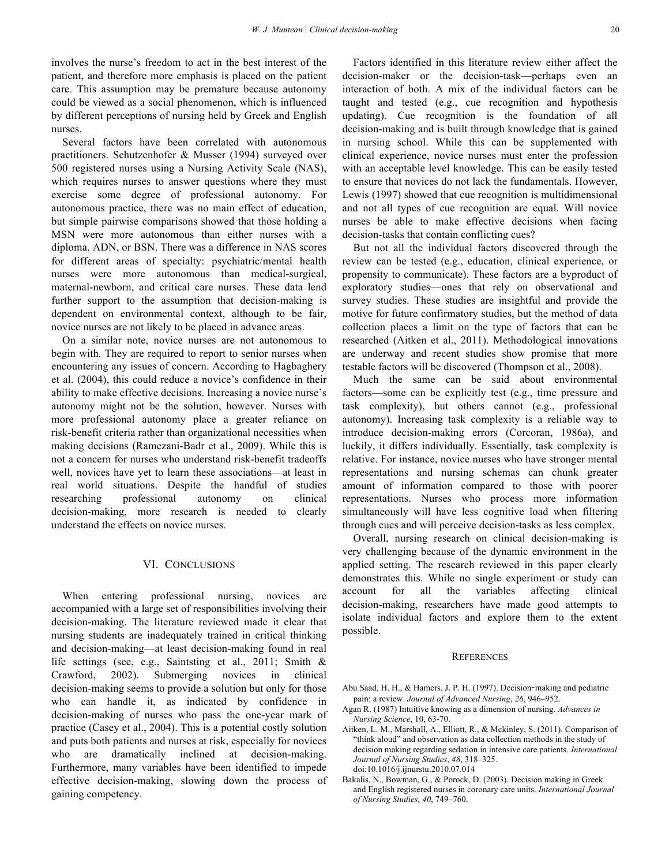involves the nurse's freedom to act in the best interest of the patient, and therefore more emphasis is placed on the patient care. This assumption may be premature because autonomy could be viewed as a social phenomenon, which is influenced by different perceptions of nursing held by Greek and English nurses.

Several factors have been correlated with autonomous practitioners. Schutzenhofer & Musser (1994) surveyed over 500 registered nurses using a Nursing Activity Scale (NAS), which requires nurses to answer questions where they must exercise some degree of professional autonomy. For autonomous practice, there was no main effect of education, but simple pairwise comparisons showed that those holding a MSN were more autonomous than either nurses with a diploma, ADN, or BSN. There was a difference in NAS scores for different areas of specialty: psychiatric/mental health nurses were more autonomous than medical-surgical, maternal-newborn, and critical care nurses. These data lend further support to the assumption that decision-making is dependent on environmental context, although to be fair, novice nurses are not likely to be placed in advance areas.

On a similar note, novice nurses are not autonomous to begin with. They are required to report to senior nurses when encountering any issues of concern. According to Hagbaghery et al. (2004), this could reduce a novice's confidence in their ability to make effective decisions. Increasing a novice nurse's autonomy might not be the solution, however. Nurses with more professional autonomy place a greater reliance on risk-benefit criteria rather than organizational necessities when making decisions (Ramezani-Badr et al., 2009). While this is not a concern for nurses who understand risk-benefit tradeoffs well, novices have yet to learn these associations—at least in real world situations. Despite the handful of studies researching professional autonomy on clinical decision-making, more research is needed to clearly understand the effects on novice nurses.

# VI. CONCLUSIONS

When entering professional nursing, novices are accompanied with a large set of responsibilities involving their decision-making. The literature reviewed made it clear that nursing students are inadequately trained in critical thinking and decision-making—at least decision-making found in real life settings (see, e.g., Saintsting et al., 2011; Smith & Crawford, 2002). Submerging novices in clinical decision-making seems to provide a solution but only for those who can handle it, as indicated by confidence in decision-making of nurses who pass the one-year mark of practice (Casey et al., 2004). This is a potential costly solution and puts both patients and nurses at risk, especially for novices who are dramatically inclined at decision-making. Furthermore, many variables have been identified to impede effective decision-making, slowing down the process of gaining competency.

Factors identified in this literature review either affect the decision-maker or the decision-task—perhaps even an interaction of both. A mix of the individual factors can be taught and tested (e.g., cue recognition and hypothesis updating). Cue recognition is the foundation of all decision-making and is built through knowledge that is gained in nursing school. While this can be supplemented with clinical experience, novice nurses must enter the profession with an acceptable level knowledge. This can be easily tested to ensure that novices do not lack the fundamentals. However, Lewis (1997) showed that cue recognition is multidimensional and not all types of cue recognition are equal. Will novice nurses be able to make effective decisions when facing decision-tasks that contain conflicting cues?

But not all the individual factors discovered through the review can be tested (e.g., education, clinical experience, or propensity to communicate). These factors are a byproduct of exploratory studies—ones that rely on observational and survey studies. These studies are insightful and provide the motive for future confirmatory studies, but the method of data collection places a limit on the type of factors that can be researched (Aitken et al., 2011). Methodological innovations are underway and recent studies show promise that more testable factors will be discovered (Thompson et al., 2008).

Much the same can be said about environmental factors—some can be explicitly test (e.g., time pressure and task complexity), but others cannot (e.g., professional autonomy). Increasing task complexity is a reliable way to introduce decision-making errors (Corcoran, 1986a), and luckily, it differs individually. Essentially, task complexity is relative. For instance, novice nurses who have stronger mental representations and nursing schemas can chunk greater amount of information compared to those with poorer representations. Nurses who process more information simultaneously will have less cognitive load when filtering through cues and will perceive decision-tasks as less complex.

Overall, nursing research on clinical decision-making is very challenging because of the dynamic environment in the applied setting. The research reviewed in this paper clearly demonstrates this. While no single experiment or study can account for all the variables affecting clinical decision-making, researchers have made good attempts to isolate individual factors and explore them to the extent possible.

#### **REFERENCES**

- Abu Saad, H. H., & Hamers, J. P. H. (1997). Decision**-**making and pediatric pain: a review. *Journal of Advanced Nursing*, *26*, 946–952.
- Agan R. (1987) Intuitive knowing as a dimension of nursing. *Advances in Nursing Science*, 10, 63-70.
- Aitken, L. M., Marshall, A., Elliott, R., & Mckinley, S. (2011). Comparison of "think aloud" and observation as data collection methods in the study of decision making regarding sedation in intensive care patients. *International Journal of Nursing Studies*, *48*, 318–325. doi:10.1016/j.ijnurstu.2010.07.014
- Bakalis, N., Bowman, G., & Porock, D. (2003). Decision making in Greek and English registered nurses in coronary care units. *International Journal of Nursing Studies*, *40*, 749–760.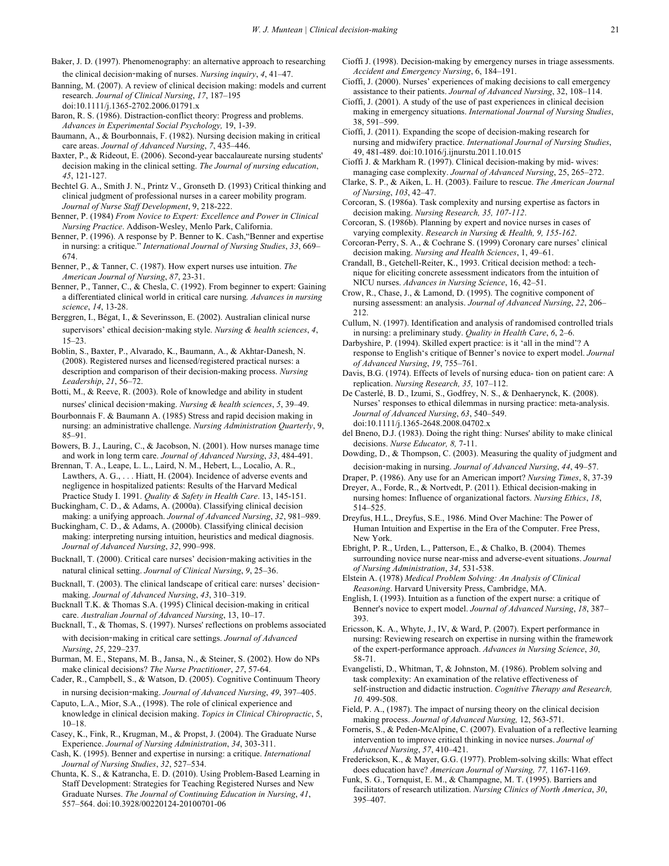Baker, J. D. (1997). Phenomenography: an alternative approach to researching the clinical decision**-**making of nurses. *Nursing inquiry*, *4*, 41–47.

Banning, M. (2007). A review of clinical decision making: models and current research. *Journal of Clinical Nursing*, *17*, 187–195 doi:10.1111/j.1365-2702.2006.01791.x

- Baron, R. S. (1986). Distraction-conflict theory: Progress and problems. *Advances in Experimental Social Psychology,* 19, 1-39.
- Baumann, A., & Bourbonnais, F. (1982). Nursing decision making in critical care areas. *Journal of Advanced Nursing*, *7*, 435–446.
- Baxter, P., & Rideout, E. (2006). Second-year baccalaureate nursing students' decision making in the clinical setting. *The Journal of nursing education*, *45*, 121-127.
- Bechtel G. A., Smith J. N., Printz V., Gronseth D. (1993) Critical thinking and clinical judgment of professional nurses in a career mobility program. *Journal of Nurse Staff Development*, 9, 218-222.
- Benner, P. (1984) *From Novice to Expert: Excellence and Power in Clinical Nursing Practice*. Addison-Wesley, Menlo Park, California.
- Benner, P. (1996). A response by P. Benner to K. Cash,"Benner and expertise in nursing: a critique." *International Journal of Nursing Studies*, *33*, 669– 674.
- Benner, P., & Tanner, C. (1987). How expert nurses use intuition. *The American Journal of Nursing*, *87*, 23-31.
- Benner, P., Tanner, C., & Chesla, C. (1992). From beginner to expert: Gaining a differentiated clinical world in critical care nursing*. Advances in nursing science*, *14*, 13-28.
- Berggren, I., Bégat, I., & Severinsson, E. (2002). Australian clinical nurse supervisors' ethical decision**-**making style. *Nursing & health sciences*, *4*, 15–23.
- Boblin, S., Baxter, P., Alvarado, K., Baumann, A., & Akhtar-Danesh, N. (2008). Registered nurses and licensed/registered practical nurses: a description and comparison of their decision-making process. *Nursing Leadership*, *21*, 56–72.
- Botti, M., & Reeve, R. (2003). Role of knowledge and ability in student nurses' clinical decision**-**making. *Nursing & health sciences*, *5*, 39–49.
- Bourbonnais F. & Baumann A. (1985) Stress and rapid decision making in nursing: an administrative challenge. *Nursing Administration Quarterly*, 9, 85–91.
- Bowers, B. J., Lauring, C., & Jacobson, N. (2001). How nurses manage time and work in long term care. *Journal of Advanced Nursing*, *33*, 484-491.
- Brennan, T. A., Leape, L. L., Laird, N. M., Hebert, L., Localio, A. R., Lawthers, A. G., . . . Hiatt, H. (2004). Incidence of adverse events and negligence in hospitalized patients: Results of the Harvard Medical Practice Study I. 1991. *Quality & Safety in Health Care*. 13, 145-151.
- Buckingham, C. D., & Adams, A. (2000a). Classifying clinical decision making: a unifying approach. *Journal of Advanced Nursing*, *32*, 981–989.
- Buckingham, C. D., & Adams, A. (2000b). Classifying clinical decision making: interpreting nursing intuition, heuristics and medical diagnosis. *Journal of Advanced Nursing*, *32*, 990–998.
- Bucknall, T. (2000). Critical care nurses' decision**-**making activities in the natural clinical setting. *Journal of Clinical Nursing*, *9*, 25–36.
- Bucknall, T. (2003). The clinical landscape of critical care: nurses' decisionmaking. *Journal of Advanced Nursing*, *43*, 310–319.
- Bucknall T.K. & Thomas S.A. (1995) Clinical decision-making in critical care. *Australian Journal of Advanced Nursing*, 13, 10–17.
- Bucknall, T., & Thomas, S. (1997). Nurses' reflections on problems associated with decision**-**making in critical care settings. *Journal of Advanced Nursing*, *25*, 229–237.
- Burman, M. E., Stepans, M. B., Jansa, N., & Steiner, S. (2002). How do NPs make clinical decisions? *The Nurse Practitioner*, *27*, 57-64.
- Cader, R., Campbell, S., & Watson, D. (2005). Cognitive Continuum Theory in nursing decision**-**making. *Journal of Advanced Nursing*, *49*, 397–405.
- Caputo, L.A., Mior, S.A., (1998). The role of clinical experience and knowledge in clinical decision making. *Topics in Clinical Chiropractic*, 5, 10–18.
- Casey, K., Fink, R., Krugman, M., & Propst, J. (2004). The Graduate Nurse Experience. *Journal of Nursing Administration*, *34*, 303-311.
- Cash, K. (1995). Benner and expertise in nursing: a critique. *International Journal of Nursing Studies*, *32*, 527–534.
- Chunta, K. S., & Katrancha, E. D. (2010). Using Problem-Based Learning in Staff Development: Strategies for Teaching Registered Nurses and New Graduate Nurses. *The Journal of Continuing Education in Nursing*, *41*, 557–564. doi:10.3928/00220124-20100701-06
- Cioffi J. (1998). Decision-making by emergency nurses in triage assessments. *Accident and Emergency Nursing*, 6, 184–191.
- Cioffi, J. (2000). Nurses' experiences of making decisions to call emergency assistance to their patients. *Journal of Advanced Nursing*, 32, 108–114.
- Cioffi, J. (2001). A study of the use of past experiences in clinical decision making in emergency situations. *International Journal of Nursing Studies*, 38, 591–599.
- Cioffi, J. (2011). Expanding the scope of decision-making research for nursing and midwifery practice. *International Journal of Nursing Studies*, 49, 481-489. doi:10.1016/j.ijnurstu.2011.10.015
- Cioffi J. & Markham R. (1997). Clinical decision-making by mid- wives: managing case complexity. *Journal of Advanced Nursing*, 25, 265–272.
- Clarke, S. P., & Aiken, L. H. (2003). Failure to rescue. *The American Journal of Nursing*, *103*, 42–47.
- Corcoran, S. (1986a). Task complexity and nursing expertise as factors in decision making. *Nursing Research, 35, 107-112*.
- Corcoran, S. (1986b). Planning by expert and novice nurses in cases of varying complexity. *Research in Nursing & Health, 9, 155-162*.
- Corcoran-Perry, S. A., & Cochrane S. (1999) Coronary care nurses' clinical decision making. *Nursing and Health Sciences*, 1, 49–61.
- Crandall, B., Getchell-Reiter, K., 1993. Critical decision method: a technique for eliciting concrete assessment indicators from the intuition of NICU nurses. *Advances in Nursing Science*, 16, 42–51.
- Crow, R., Chase, J., & Lamond, D. (1995). The cognitive component of nursing assessment: an analysis. *Journal of Advanced Nursing*, *22*, 206– 212.
- Cullum, N. (1997). Identification and analysis of randomised controlled trials in nursing: a preliminary study. *Quality in Health Care*, *6*, 2–6.
- Darbyshire, P. (1994). Skilled expert practice: is it 'all in the mind'? A response to English's critique of Benner's novice to expert model. *Journal of Advanced Nursing*, *19*, 755–761.
- Davis, B.G. (1974). Effects of levels of nursing educa- tion on patient care: A replication. *Nursing Research, 35,* 107–112.
- De Casterlé, B. D., Izumi, S., Godfrey, N. S., & Denhaerynck, K. (2008). Nurses' responses to ethical dilemmas in nursing practice: meta-analysis. *Journal of Advanced Nursing*, *63*, 540–549. doi:10.1111/j.1365-2648.2008.04702.x
- del Bneno, D.J. (1983). Doing the right thing: Nurses' ability to make clinical decisions. *Nurse Educator, 8,* 7-11.
- Dowding, D., & Thompson, C. (2003). Measuring the quality of judgment and decision**-**making in nursing. *Journal of Advanced Nursing*, *44*, 49–57.
- Draper, P. (1986). Any use for an American import? *Nursing Times*, 8, 37-39
- Dreyer, A., Forde, R., & Nortvedt, P. (2011). Ethical decision-making in nursing homes: Influence of organizational factors. *Nursing Ethics*, *18*, 514–525.
- Dreyfus, H.L., Dreyfus, S.E., 1986. Mind Over Machine: The Power of Human Intuition and Expertise in the Era of the Computer. Free Press, New York.
- Ebright, P. R., Urden, L., Patterson, E., & Chalko, B. (2004). Themes surrounding novice nurse near-miss and adverse-event situations. *Journal of Nursing Administration*, *34*, 531-538.
- Elstein A. (1978) *Medical Problem Solving: An Analysis of Clinical Reasoning*. Harvard University Press, Cambridge, MA.
- English, I. (1993). Intuition as a function of the expert nurse: a critique of Benner's novice to expert model. *Journal of Advanced Nursing*, *18*, 387– 393.
- Ericsson, K. A., Whyte, J., IV, & Ward, P. (2007). Expert performance in nursing: Reviewing research on expertise in nursing within the framework of the expert-performance approach. *Advances in Nursing Science*, *30*, 58-71.
- Evangelisti, D., Whitman, T, & Johnston, M. (1986). Problem solving and task complexity: An examination of the relative effectiveness of self-instruction and didactic instruction. *Cognitive Therapy and Research, 10.* 499-508.
- Field, P. A., (1987). The impact of nursing theory on the clinical decision making process. *Journal of Advanced Nursing,* 12, 563-571.
- Forneris, S., & Peden-McAlpine, C. (2007). Evaluation of a reflective learning intervention to improve critical thinking in novice nurses. *Journal of Advanced Nursing*, *57*, 410–421.
- Frederickson, K., & Mayer, G.G. (1977). Problem-solving skills: What effect does education have? *American Journal of Nursing, 77,* 1167-1169.
- Funk, S. G., Tornquist, E. M., & Champagne, M. T. (1995). Barriers and facilitators of research utilization. *Nursing Clinics of North America*, *30*, 395–407.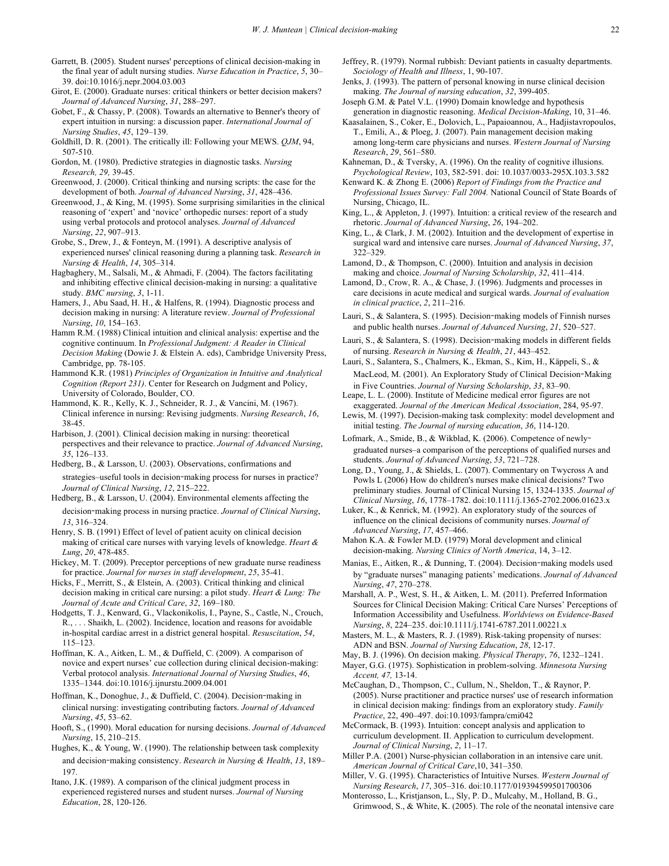- Garrett, B. (2005). Student nurses' perceptions of clinical decision-making in the final year of adult nursing studies. *Nurse Education in Practice*, *5*, 30– 39. doi:10.1016/j.nepr.2004.03.003
- Girot, E. (2000). Graduate nurses: critical thinkers or better decision makers? *Journal of Advanced Nursing*, *31*, 288–297.
- Gobet, F., & Chassy, P. (2008). Towards an alternative to Benner's theory of expert intuition in nursing: a discussion paper. *International Journal of Nursing Studies*, *45*, 129–139.
- Goldhill, D. R. (2001). The critically ill: Following your MEWS. *QJM*, 94, 507-510.
- Gordon, M. (1980). Predictive strategies in diagnostic tasks. *Nursing Research, 29,* 39-45.
- Greenwood, J. (2000). Critical thinking and nursing scripts: the case for the development of both. *Journal of Advanced Nursing*, *31*, 428–436.
- Greenwood, J., & King, M. (1995). Some surprising similarities in the clinical reasoning of 'expert' and 'novice' orthopedic nurses: report of a study using verbal protocols and protocol analyses. *Journal of Advanced Nursing*, *22*, 907–913.
- Grobe, S., Drew, J., & Fonteyn, M. (1991). A descriptive analysis of experienced nurses' clinical reasoning during a planning task. *Research in Nursing & Health*, *14*, 305–314.
- Hagbaghery, M., Salsali, M., & Ahmadi, F. (2004). The factors facilitating and inhibiting effective clinical decision-making in nursing: a qualitative study. *BMC nursing*, *3*, 1-11.
- Hamers, J., Abu Saad, H. H., & Halfens, R. (1994). Diagnostic process and decision making in nursing: A literature review. *Journal of Professional Nursing*, *10*, 154–163.
- Hamm R.M. (1988) Clinical intuition and clinical analysis: expertise and the cognitive continuum. In *Professional Judgment: A Reader in Clinical Decision Making* (Dowie J. & Elstein A. eds), Cambridge University Press, Cambridge, pp. 78-105.
- Hammond K.R. (1981) *Principles of Organization in Intuitive and Analytical Cognition (Report 231)*. Center for Research on Judgment and Policy, University of Colorado, Boulder, CO.
- Hammond, K. R., Kelly, K. J., Schneider, R. J., & Vancini, M. (1967). Clinical inference in nursing: Revising judgments. *Nursing Research*, *16*, 38-45.
- Harbison, J. (2001). Clinical decision making in nursing: theoretical perspectives and their relevance to practice. *Journal of Advanced Nursing*, *35*, 126–133.
- Hedberg, B., & Larsson, U. (2003). Observations, confirmations and strategies–useful tools in decision**-**making process for nurses in practice? *Journal of Clinical Nursing*, *12*, 215–222.
- Hedberg, B., & Larsson, U. (2004). Environmental elements affecting the decision**-**making process in nursing practice. *Journal of Clinical Nursing*, *13*, 316–324.
- Henry, S. B. (1991) Effect of level of patient acuity on clinical decision making of critical care nurses with varying levels of knowledge. *Heart & Lung*, *20*, 478-485.
- Hickey, M. T. (2009). Preceptor perceptions of new graduate nurse readiness for practice. *Journal for nurses in staff development*, *25*, 35-41.
- Hicks, F., Merritt, S., & Elstein, A. (2003). Critical thinking and clinical decision making in critical care nursing: a pilot study. *Heart & Lung: The Journal of Acute and Critical Care*, *32*, 169–180.
- Hodgetts, T. J., Kenward, G., Vlackonikolis, I., Payne, S., Castle, N., Crouch, R., . . . Shaikh, L. (2002). Incidence, location and reasons for avoidable in-hospital cardiac arrest in a district general hospital. *Resuscitation*, *54*, 115–123.
- Hoffman, K. A., Aitken, L. M., & Duffield, C. (2009). A comparison of novice and expert nurses' cue collection during clinical decision-making: Verbal protocol analysis. *International Journal of Nursing Studies*, *46*, 1335–1344. doi:10.1016/j.ijnurstu.2009.04.001
- Hoffman, K., Donoghue, J., & Duffield, C. (2004). Decision**-**making in clinical nursing: investigating contributing factors. *Journal of Advanced Nursing*, *45*, 53–62.
- Hooft, S., (1990). Moral education for nursing decisions. *Journal of Advanced Nursing*, 15, 210–215.
- Hughes, K., & Young, W. (1990). The relationship between task complexity and decision**-**making consistency. *Research in Nursing & Health*, *13*, 189– 197.
- Itano, J.K. (1989). A comparison of the clinical judgment process in experienced registered nurses and student nurses. *Journal of Nursing Education*, 28, 120-126.
- Jeffrey, R. (1979). Normal rubbish: Deviant patients in casualty departments. *Sociology of Health and Illness*, 1, 90-107.
- Jenks, J. (1993). The pattern of personal knowing in nurse clinical decision making. *The Journal of nursing education*, *32*, 399-405.
- Joseph G.M. & Patel V.L. (1990) Domain knowledge and hypothesis generation in diagnostic reasoning. *Medical Decision-Making*, 10, 31–46.
- Kaasalainen, S., Coker, E., Dolovich, L., Papaioannou, A., Hadjistavropoulos, T., Emili, A., & Ploeg, J. (2007). Pain management decision making among long-term care physicians and nurses. *Western Journal of Nursing Research*, *29*, 561–580.
- Kahneman, D., & Tversky, A. (1996). On the reality of cognitive illusions. *Psychological Review*, 103, 582-591. doi: 10.1037/0033-295X.103.3.582
- Kenward K. & Zhong E. (2006) *Report of Findings from the Practice and Professional Issues Survey: Fall 2004.* National Council of State Boards of Nursing, Chicago, IL.
- King, L., & Appleton, J. (1997). Intuition: a critical review of the research and rhetoric. *Journal of Advanced Nursing*, *26*, 194–202.
- King, L., & Clark, J. M. (2002). Intuition and the development of expertise in surgical ward and intensive care nurses. *Journal of Advanced Nursing*, *37*, 322–329.
- Lamond, D., & Thompson, C. (2000). Intuition and analysis in decision making and choice. *Journal of Nursing Scholarship*, *32*, 411–414.
- Lamond, D., Crow, R. A., & Chase, J. (1996). Judgments and processes in care decisions in acute medical and surgical wards. *Journal of evaluation in clinical practice*, *2*, 211–216.
- Lauri, S., & Salantera, S. (1995). Decision**-**making models of Finnish nurses and public health nurses. *Journal of Advanced Nursing*, *21*, 520–527.
- Lauri, S., & Salantera, S. (1998). Decision**-**making models in different fields of nursing. *Research in Nursing & Health*, *21*, 443–452.
- Lauri, S., Salantera, S., Chalmers, K., Ekman, S., Kim, H., Käppeli, S., & MacLeod, M. (2001). An Exploratory Study of Clinical Decision**-**Making in Five Countries. *Journal of Nursing Scholarship*, *33*, 83–90.
- Leape, L. L. (2000). Institute of Medicine medical error figures are not exaggerated. *Journal of the American Medical Association*, 284, 95-97.
- Lewis, M. (1997). Decision-making task complexity: model development and initial testing. *The Journal of nursing education*, *36*, 114-120.
- Lofmark, A., Smide, B., & Wikblad, K. (2006). Competence of newlygraduated nurses–a comparison of the perceptions of qualified nurses and students. *Journal of Advanced Nursing*, *53*, 721–728.
- Long, D., Young, J., & Shields, L. (2007). Commentary on Twycross A and Powls L (2006) How do children's nurses make clinical decisions? Two preliminary studies. Journal of Clinical Nursing 15, 1324-1335. *Journal of Clinical Nursing*, *16*, 1778–1782. doi:10.1111/j.1365-2702.2006.01623.x
- Luker, K., & Kenrick, M. (1992). An exploratory study of the sources of influence on the clinical decisions of community nurses. *Journal of Advanced Nursing*, *17*, 457–466.
- Mahon K.A. & Fowler M.D. (1979) Moral development and clinical decision-making. *Nursing Clinics of North America*, 14, 3–12.
- Manias, E., Aitken, R., & Dunning, T. (2004). Decision**-**making models used by "graduate nurses" managing patients' medications. *Journal of Advanced Nursing*, *47*, 270–278.
- Marshall, A. P., West, S. H., & Aitken, L. M. (2011). Preferred Information Sources for Clinical Decision Making: Critical Care Nurses' Perceptions of Information Accessibility and Usefulness. *Worldviews on Evidence-Based Nursing*, *8*, 224–235. doi:10.1111/j.1741-6787.2011.00221.x
- Masters, M. L., & Masters, R. J. (1989). Risk-taking propensity of nurses: ADN and BSN. *Journal of Nursing Education*, *28*, 12-17.
- May, B. J. (1996). On decision making. *Physical Therapy*, *76*, 1232–1241.
- Mayer, G.G. (1975). Sophistication in problem-solving. *Minnesota Nursing Accent, 47,* 13-14.
- McCaughan, D., Thompson, C., Cullum, N., Sheldon, T., & Raynor, P. (2005). Nurse practitioner and practice nurses' use of research information in clinical decision making: findings from an exploratory study. *Family Practice*, 22, 490–497. doi:10.1093/fampra/cmi042
- McCormack, B. (1993). Intuition: concept analysis and application to curriculum development. II. Application to curriculum development. *Journal of Clinical Nursing*, *2*, 11–17.
- Miller P.A. (2001) Nurse-physician collaboration in an intensive care unit. *American Journal of Critical Care*,10, 341–350.
- Miller, V. G. (1995). Characteristics of Intuitive Nurses. *Western Journal of Nursing Research*, *17*, 305–316. doi:10.1177/019394599501700306
- Monterosso, L., Kristjanson, L., Sly, P. D., Mulcahy, M., Holland, B. G., Grimwood, S., & White, K. (2005). The role of the neonatal intensive care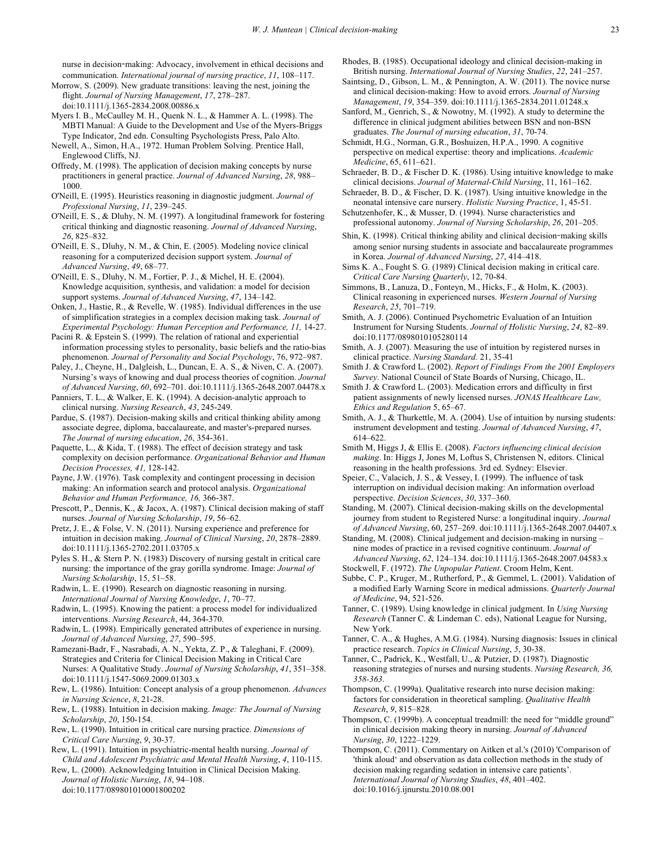nurse in decision**-**making: Advocacy, involvement in ethical decisions and communication. *International journal of nursing practice*, *11*, 108–117.

Morrow, S. (2009). New graduate transitions: leaving the nest, joining the flight. *Journal of Nursing Management*, *17*, 278–287. doi:10.1111/j.1365-2834.2008.00886.x

Myers I. B., McCaulley M. H., Quenk N. L., & Hammer A. L. (1998). The MBTI Manual: A Guide to the Development and Use of the Myers-Briggs Type Indicator, 2nd edn. Consulting Psychologists Press, Palo Alto.

Newell, A., Simon, H.A., 1972. Human Problem Solving. Prentice Hall, Englewood Cliffs, NJ.

Offredy, M. (1998). The application of decision making concepts by nurse practitioners in general practice. *Journal of Advanced Nursing*, *28*, 988– 1000.

O'Neill, E. (1995). Heuristics reasoning in diagnostic judgment. *Journal of Professional Nursing*, *11*, 239–245.

O'Neill, E. S., & Dluhy, N. M. (1997). A longitudinal framework for fostering critical thinking and diagnostic reasoning. *Journal of Advanced Nursing*, *26*, 825–832.

O'Neill, E. S., Dluhy, N. M., & Chin, E. (2005). Modeling novice clinical reasoning for a computerized decision support system. *Journal of Advanced Nursing*, *49*, 68–77.

O'Neill, E. S., Dluhy, N. M., Fortier, P. J., & Michel, H. E. (2004). Knowledge acquisition, synthesis, and validation: a model for decision support systems. *Journal of Advanced Nursing*, *47*, 134–142.

Onken, J., Hastie, R., & Revelle, W. (1985). Individual differences in the use of simplification strategies in a complex decision making task. *Journal of Experimental Psychology: Human Perception and Performance, 11,* 14-27.

Pacini R. & Epstein S. (1999). The relation of rational and experiential information processing styles to personality, basic beliefs and the ratio-bias phenomenon. *Journal of Personality and Social Psychology*, 76, 972–987.

Paley, J., Cheyne, H., Dalgleish, L., Duncan, E. A. S., & Niven, C. A. (2007). Nursing's ways of knowing and dual process theories of cognition. *Journal of Advanced Nursing*, *60*, 692–701. doi:10.1111/j.1365-2648.2007.04478.x

Panniers, T. L., & Walker, E. K. (1994). A decision-analytic approach to clinical nursing. *Nursing Research*, *43*, 245-249.

Pardue, S. (1987). Decision-making skills and critical thinking ability among associate degree, diploma, baccalaureate, and master's-prepared nurses. *The Journal of nursing education*, *26*, 354-361.

Paquette, L., & Kida, T. (1988). The effect of decision strategy and task complexity on decision performance. *Organizational Behavior and Human Decision Processes, 41,* 128-142.

Payne, J.W. (1976). Task complexity and contingent processing in decision making: An information search and protocol analysis. *Organizational Behavior and Human Performance, 16,* 366-387.

Prescott, P., Dennis, K., & Jacox, A. (1987). Clinical decision making of staff nurses. *Journal of Nursing Scholarship*, *19*, 56–62.

Pretz, J. E., & Folse, V. N. (2011). Nursing experience and preference for intuition in decision making. *Journal of Clinical Nursing*, *20*, 2878–2889. doi:10.1111/j.1365-2702.2011.03705.x

Pyles S. H., & Stern P. N. (1983) Discovery of nursing gestalt in critical care nursing: the importance of the gray gorilla syndrome. Image: *Journal of Nursing Scholarship*, 15, 51–58.

Radwin, L. E. (1990). Research on diagnostic reasoning in nursing. *International Journal of Nursing Knowledge*, *1*, 70–77.

Radwin, L. (1995). Knowing the patient: a process model for individualized interventions. *Nursing Research*, 44, 364-370.

Radwin, L. (1998). Empirically generated attributes of experience in nursing. *Journal of Advanced Nursing*, *27*, 590–595.

Ramezani-Badr, F., Nasrabadi, A. N., Yekta, Z. P., & Taleghani, F. (2009). Strategies and Criteria for Clinical Decision Making in Critical Care Nurses: A Qualitative Study. *Journal of Nursing Scholarship*, *41*, 351–358. doi:10.1111/j.1547-5069.2009.01303.x

Rew, L. (1986). Intuition: Concept analysis of a group phenomenon. *Advances in Nursing Science*, *8*, 21-28.

Rew, L. (1988). Intuition in decision making. *Image: The Journal of Nursing Scholarship*, *20*, 150-154.

Rew, L. (1990). Intuition in critical care nursing practice. *Dimensions of Critical Care Nursing*, *9*, 30-37.

Rew, L. (1991). Intuition in psychiatric-mental health nursing. *Journal of Child and Adolescent Psychiatric and Mental Health Nursing*, *4*, 110-115. Rew, L. (2000). Acknowledging Intuition in Clinical Decision Making.

*Journal of Holistic Nursing*, *18*, 94–108. doi:10.1177/089801010001800202

Rhodes, B. (1985). Occupational ideology and clinical decision-making in British nursing. *International Journal of Nursing Studies*, *22*, 241–257.

Saintsing, D., Gibson, L. M., & Pennington, A. W. (2011). The novice nurse and clinical decision-making: How to avoid errors. *Journal of Nursing Management*, *19*, 354–359. doi:10.1111/j.1365-2834.2011.01248.x

Sanford, M., Genrich, S., & Nowotny, M. (1992). A study to determine the difference in clinical judgment abilities between BSN and non-BSN graduates. *The Journal of nursing education*, *31*, 70-74.

Schmidt, H.G., Norman, G.R., Boshuizen, H.P.A., 1990. A cognitive perspective on medical expertise: theory and implications. *Academic Medicine*, 65, 611–621.

Schraeder, B. D., & Fischer D. K. (1986). Using intuitive knowledge to make clinical decisions. *Journal of Maternal-Child Nursing*, 11, 161–162.

Schraeder, B. D., & Fischer, D. K. (1987). Using intuitive knowledge in the neonatal intensive care nursery. *Holistic Nursing Practice*, 1, 45-51.

Schutzenhofer, K., & Musser, D. (1994). Nurse characteristics and professional autonomy. *Journal of Nursing Scholarship*, *26*, 201–205.

Shin, K. (1998). Critical thinking ability and clinical decision**-**making skills among senior nursing students in associate and baccalaureate programmes in Korea. *Journal of Advanced Nursing*, *27*, 414–418.

Sims K. A., Fought S. G. (1989) Clinical decision making in critical care. *Critical Care Nursing Quarterly*, 12, 70-84.

Simmons, B., Lanuza, D., Fonteyn, M., Hicks, F., & Holm, K. (2003). Clinical reasoning in experienced nurses. *Western Journal of Nursing Research*, *25*, 701–719.

Smith, A. J. (2006). Continued Psychometric Evaluation of an Intuition Instrument for Nursing Students. *Journal of Holistic Nursing*, *24*, 82–89. doi:10.1177/0898010105280114

Smith, A. J. (2007). Measuring the use of intuition by registered nurses in clinical practice. *Nursing Standard.* 21, 35-41

Smith J. & Crawford L. (2002). *Report of Findings From the 2001 Employers Survey*. National Council of State Boards of Nursing, Chicago, IL.

Smith J. & Crawford L. (2003). Medication errors and difficulty in first patient assignments of newly licensed nurses. *JONAS Healthcare Law, Ethics and Regulation* 5, 65–67.

Smith, A. J., & Thurkettle, M. A. (2004). Use of intuition by nursing students: instrument development and testing. *Journal of Advanced Nursing*, *47*, 614–622.

Smith M, Higgs J, & Ellis E. (2008). *Factors influencing clinical decision making*. In: Higgs J, Jones M, Loftus S, Christensen N, editors. Clinical reasoning in the health professions. 3rd ed. Sydney: Elsevier.

Speier, C., Valacich, J. S., & Vessey, I. (1999). The influence of task interruption on individual decision making: An information overload perspective. *Decision Sciences*, *30*, 337–360.

Standing, M. (2007). Clinical decision-making skills on the developmental journey from student to Registered Nurse: a longitudinal inquiry. *Journal of Advanced Nursing*, 60, 257–269. doi:10.1111/j.1365-2648.2007.04407.x

Standing, M. (2008). Clinical judgement and decision-making in nursing – nine modes of practice in a revised cognitive continuum. *Journal of Advanced Nursing*, *62*, 124–134. doi:10.1111/j.1365-2648.2007.04583.x

Stockwell, F. (1972). *The Unpopular Patient*. Croom Helm, Kent.

Subbe, C. P., Kruger, M., Rutherford, P., & Gemmel, L. (2001). Validation of a modified Early Warning Score in medical admissions. *Quarterly Journal of Medicine*, 94, 521-526.

Tanner, C. (1989). Using knowledge in clinical judgment. In *Using Nursing Research* (Tanner C. & Lindeman C. eds), National League for Nursing, New York.

Tanner, C. A., & Hughes, A.M.G. (1984). Nursing diagnosis: Issues in clinical practice research. *Topics in Clinical Nursing*, *5*, 30-38.

Tanner, C., Padrick, K., Westfall, U., & Putzier, D. (1987). Diagnostic reasoning strategies of nurses and nursing students. *Nursing Research, 36, 358-363*.

Thompson, C. (1999a). Qualitative research into nurse decision making: factors for consideration in theoretical sampling. *Qualitative Health Research*, *9*, 815–828.

Thompson, C. (1999b). A conceptual treadmill: the need for "middle ground" in clinical decision making theory in nursing. *Journal of Advanced Nursing*, *30*, 1222–1229.

Thompson, C. (2011). Commentary on Aitken et al.'s (2010) 'Comparison of 'think aloud' and observation as data collection methods in the study of decision making regarding sedation in intensive care patients'. *International Journal of Nursing Studies*, *48*, 401–402. doi:10.1016/j.ijnurstu.2010.08.001